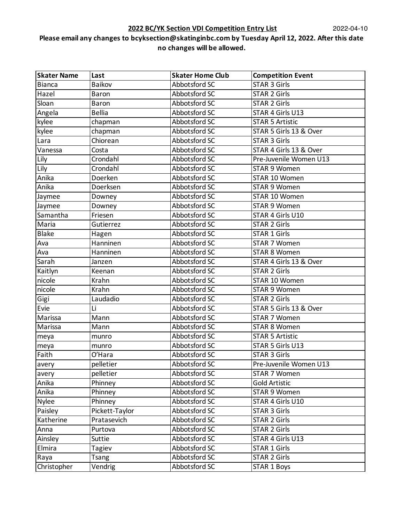| <b>Skater Name</b> | Last           | <b>Skater Home Club</b> | <b>Competition Event</b> |
|--------------------|----------------|-------------------------|--------------------------|
| <b>Bianca</b>      | Baikov         | Abbotsford SC           | <b>STAR 3 Girls</b>      |
| Hazel              | Baron          | Abbotsford SC           | <b>STAR 2 Girls</b>      |
| Sloan              | <b>Baron</b>   | Abbotsford SC           | <b>STAR 2 Girls</b>      |
| Angela             | <b>Bellia</b>  | Abbotsford SC           | STAR 4 Girls U13         |
| kylee              | chapman        | Abbotsford SC           | <b>STAR 5 Artistic</b>   |
| kylee              | chapman        | Abbotsford SC           | STAR 5 Girls 13 & Over   |
| Lara               | Chiorean       | Abbotsford SC           | <b>STAR 3 Girls</b>      |
| Vanessa            | Costa          | Abbotsford SC           | STAR 4 Girls 13 & Over   |
| Lily               | Crondahl       | Abbotsford SC           | Pre-Juvenile Women U13   |
| Lily               | Crondahl       | Abbotsford SC           | <b>STAR 9 Women</b>      |
| Anika              | Doerken        | Abbotsford SC           | STAR 10 Women            |
| Anika              | Doerksen       | Abbotsford SC           | STAR 9 Women             |
| Jaymee             | Downey         | Abbotsford SC           | STAR 10 Women            |
| Jaymee             | Downey         | Abbotsford SC           | STAR 9 Women             |
| Samantha           | Friesen        | Abbotsford SC           | STAR 4 Girls U10         |
| Maria              | Gutierrez      | Abbotsford SC           | <b>STAR 2 Girls</b>      |
| <b>Blake</b>       | Hagen          | Abbotsford SC           | <b>STAR 1 Girls</b>      |
| Ava                | Hanninen       | Abbotsford SC           | <b>STAR 7 Women</b>      |
| Ava                | Hanninen       | Abbotsford SC           | <b>STAR 8 Women</b>      |
| Sarah              | Janzen         | Abbotsford SC           | STAR 4 Girls 13 & Over   |
| Kaitlyn            | Keenan         | Abbotsford SC           | <b>STAR 2 Girls</b>      |
| nicole             | Krahn          | Abbotsford SC           | STAR 10 Women            |
| nicole             | Krahn          | Abbotsford SC           | STAR 9 Women             |
| Gigi               | Laudadio       | Abbotsford SC           | <b>STAR 2 Girls</b>      |
| Evie               | Li             | Abbotsford SC           | STAR 5 Girls 13 & Over   |
| Marissa            | Mann           | Abbotsford SC           | STAR 7 Women             |
| Marissa            | Mann           | Abbotsford SC           | <b>STAR 8 Women</b>      |
| meya               | munro          | Abbotsford SC           | <b>STAR 5 Artistic</b>   |
| meya               | munro          | Abbotsford SC           | STAR 5 Girls U13         |
| Faith              | O'Hara         | Abbotsford SC           | <b>STAR 3 Girls</b>      |
| avery              | pelletier      | Abbotsford SC           | Pre-Juvenile Women U13   |
| avery              | pelletier      | Abbotsford SC           | STAR 7 Women             |
| Anika              | Phinney        | Abbotsford SC           | <b>Gold Artistic</b>     |
| Anika              | Phinney        | Abbotsford SC           | <b>STAR 9 Women</b>      |
| <b>Nylee</b>       | Phinney        | Abbotsford SC           | STAR 4 Girls U10         |
| Paisley            | Pickett-Taylor | Abbotsford SC           | <b>STAR 3 Girls</b>      |
| Katherine          | Pratasevich    | Abbotsford SC           | <b>STAR 2 Girls</b>      |
| Anna               | Purtova        | Abbotsford SC           | <b>STAR 2 Girls</b>      |
| Ainsley            | Suttie         | Abbotsford SC           | STAR 4 Girls U13         |
| Elmira             | Tagiev         | Abbotsford SC           | <b>STAR 1 Girls</b>      |
| Raya               | Tsang          | Abbotsford SC           | <b>STAR 2 Girls</b>      |
| Christopher        | Vendrig        | Abbotsford SC           | STAR 1 Boys              |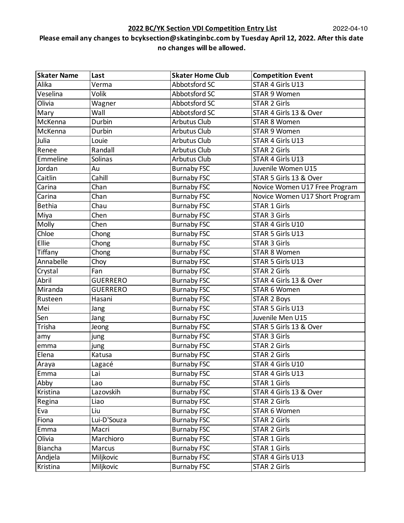### **2022 BC/YK Section VDI Competition Entry List**

| <b>Skater Name</b> | Last            | <b>Skater Home Club</b> | <b>Competition Event</b>       |
|--------------------|-----------------|-------------------------|--------------------------------|
| Alika              | Verma           | Abbotsford SC           | STAR 4 Girls U13               |
| Veselina           | Volik           | Abbotsford SC           | STAR 9 Women                   |
| Olivia             | Wagner          | Abbotsford SC           | <b>STAR 2 Girls</b>            |
| Mary               | Wall            | Abbotsford SC           | STAR 4 Girls 13 & Over         |
| McKenna            | Durbin          | <b>Arbutus Club</b>     | <b>STAR 8 Women</b>            |
| McKenna            | Durbin          | <b>Arbutus Club</b>     | STAR 9 Women                   |
| Julia              | Louie           | <b>Arbutus Club</b>     | STAR 4 Girls U13               |
| Renee              | Randall         | <b>Arbutus Club</b>     | <b>STAR 2 Girls</b>            |
| Emmeline           | Solinas         | <b>Arbutus Club</b>     | <b>STAR 4 Girls U13</b>        |
| Jordan             | Au              | <b>Burnaby FSC</b>      | Juvenile Women U15             |
| Caitlin            | Cahill          | <b>Burnaby FSC</b>      | STAR 5 Girls 13 & Over         |
| Carina             | Chan            | <b>Burnaby FSC</b>      | Novice Women U17 Free Program  |
| Carina             | Chan            | <b>Burnaby FSC</b>      | Novice Women U17 Short Program |
| <b>Bethia</b>      | Chau            | <b>Burnaby FSC</b>      | <b>STAR 1 Girls</b>            |
| Miya               | Chen            | <b>Burnaby FSC</b>      | <b>STAR 3 Girls</b>            |
| Molly              | Chen            | <b>Burnaby FSC</b>      | STAR 4 Girls U10               |
| Chloe              | Chong           | <b>Burnaby FSC</b>      | STAR 5 Girls U13               |
| Ellie              | Chong           | <b>Burnaby FSC</b>      | <b>STAR 3 Girls</b>            |
| Tiffany            | Chong           | <b>Burnaby FSC</b>      | <b>STAR 8 Women</b>            |
| Annabelle          | Choy            | <b>Burnaby FSC</b>      | STAR 5 Girls U13               |
| Crystal            | Fan             | <b>Burnaby FSC</b>      | <b>STAR 2 Girls</b>            |
| Abril              | <b>GUERRERO</b> | <b>Burnaby FSC</b>      | STAR 4 Girls 13 & Over         |
| Miranda            | <b>GUERRERO</b> | <b>Burnaby FSC</b>      | STAR 6 Women                   |
| Rusteen            | Hasani          | <b>Burnaby FSC</b>      | <b>STAR 2 Boys</b>             |
| Mei                | Jang            | <b>Burnaby FSC</b>      | STAR 5 Girls U13               |
| Sen                | Jang            | <b>Burnaby FSC</b>      | Juvenile Men U15               |
| Trisha             | Jeong           | <b>Burnaby FSC</b>      | STAR 5 Girls 13 & Over         |
| amy                | jung            | <b>Burnaby FSC</b>      | <b>STAR 3 Girls</b>            |
| emma               | jung            | <b>Burnaby FSC</b>      | <b>STAR 2 Girls</b>            |
| Elena              | Katusa          | <b>Burnaby FSC</b>      | <b>STAR 2 Girls</b>            |
| Araya              | Lagacé          | <b>Burnaby FSC</b>      | STAR 4 Girls U10               |
| Emma               | Lai             | <b>Burnaby FSC</b>      | STAR 4 Girls U13               |
| Abby               | Lao             | <b>Burnaby FSC</b>      | <b>STAR 1 Girls</b>            |
| Kristina           | Lazovskih       | <b>Burnaby FSC</b>      | STAR 4 Girls 13 & Over         |
| Regina             | Liao            | <b>Burnaby FSC</b>      | <b>STAR 2 Girls</b>            |
| Eva                | Liu             | <b>Burnaby FSC</b>      | STAR 6 Women                   |
| Fiona              | Lui-D'Souza     | <b>Burnaby FSC</b>      | <b>STAR 2 Girls</b>            |
| Emma               | Macri           | <b>Burnaby FSC</b>      | <b>STAR 2 Girls</b>            |
| Olivia             | Marchioro       | <b>Burnaby FSC</b>      | <b>STAR 1 Girls</b>            |
| Biancha            | Marcus          | <b>Burnaby FSC</b>      | <b>STAR 1 Girls</b>            |
| Andjela            | Miljkovic       | <b>Burnaby FSC</b>      | STAR 4 Girls U13               |
| Kristina           | Miljkovic       | <b>Burnaby FSC</b>      | <b>STAR 2 Girls</b>            |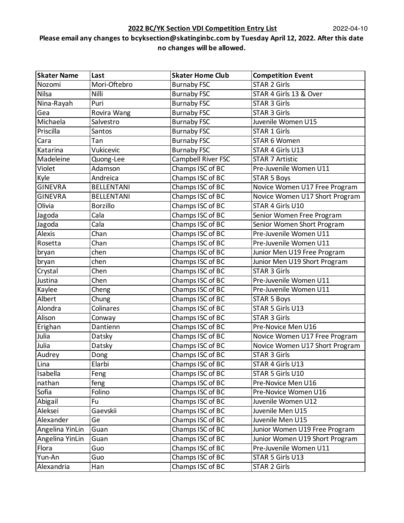| <b>Skater Name</b> | Last              | <b>Skater Home Club</b> | <b>Competition Event</b>       |
|--------------------|-------------------|-------------------------|--------------------------------|
| Nozomi             | Mori-Oftebro      | <b>Burnaby FSC</b>      | <b>STAR 2 Girls</b>            |
| <b>Nilsa</b>       | Nilli             | <b>Burnaby FSC</b>      | STAR 4 Girls 13 & Over         |
| Nina-Rayah         | Puri              | <b>Burnaby FSC</b>      | <b>STAR 3 Girls</b>            |
| Gea                | Rovira Wang       | <b>Burnaby FSC</b>      | <b>STAR 3 Girls</b>            |
| Michaela           | Salvestro         | <b>Burnaby FSC</b>      | Juvenile Women U15             |
| Priscilla          | Santos            | <b>Burnaby FSC</b>      | STAR 1 Girls                   |
| Cara               | Tan               | <b>Burnaby FSC</b>      | STAR 6 Women                   |
| Katarina           | Vukicevic         | <b>Burnaby FSC</b>      | STAR 4 Girls U13               |
| Madeleine          | Quong-Lee         | Campbell River FSC      | <b>STAR 7 Artistic</b>         |
| Violet             | Adamson           | Champs ISC of BC        | Pre-Juvenile Women U11         |
| Kyle               | Andreica          | Champs ISC of BC        | <b>STAR 5 Boys</b>             |
| <b>GINEVRA</b>     | <b>BELLENTANI</b> | Champs ISC of BC        | Novice Women U17 Free Program  |
| <b>GINEVRA</b>     | <b>BELLENTANI</b> | Champs ISC of BC        | Novice Women U17 Short Program |
| Olivia             | <b>Borzillo</b>   | Champs ISC of BC        | STAR 4 Girls U10               |
| Jagoda             | Cala              | Champs ISC of BC        | Senior Women Free Program      |
| Jagoda             | Cala              | Champs ISC of BC        | Senior Women Short Program     |
| <b>Alexis</b>      | Chan              | Champs ISC of BC        | Pre-Juvenile Women U11         |
| Rosetta            | Chan              | Champs ISC of BC        | Pre-Juvenile Women U11         |
| bryan              | chen              | Champs ISC of BC        | Junior Men U19 Free Program    |
| bryan              | chen              | Champs ISC of BC        | Junior Men U19 Short Program   |
| Crystal            | Chen              | Champs ISC of BC        | <b>STAR 3 Girls</b>            |
| Justina            | Chen              | Champs ISC of BC        | Pre-Juvenile Women U11         |
| Kaylee             | Cheng             | Champs ISC of BC        | Pre-Juvenile Women U11         |
| Albert             | Chung             | Champs ISC of BC        | <b>STAR 5 Boys</b>             |
| Alondra            | Colinares         | Champs ISC of BC        | STAR 5 Girls U13               |
| Alison             | Conway            | Champs ISC of BC        | <b>STAR 3 Girls</b>            |
| Erighan            | Dantienn          | Champs ISC of BC        | Pre-Novice Men U16             |
| Julia              | Datsky            | Champs ISC of BC        | Novice Women U17 Free Program  |
| Julia              | Datsky            | Champs ISC of BC        | Novice Women U17 Short Program |
| Audrey             | Dong              | Champs ISC of BC        | <b>STAR 3 Girls</b>            |
| Lina               | Elarbi            | Champs ISC of BC        | STAR 4 Girls U13               |
| Isabella           | Feng              | Champs ISC of BC        | STAR 5 Girls U10               |
| nathan             | feng              | Champs ISC of BC        | Pre-Novice Men U16             |
| Sofia              | Folino            | Champs ISC of BC        | Pre-Novice Women U16           |
| Abigail            | Fu                | Champs ISC of BC        | Juvenile Women U12             |
| Aleksei            | Gaevskii          | Champs ISC of BC        | Juvenile Men U15               |
| Alexander          | Ge                | Champs ISC of BC        | Juvenile Men U15               |
| Angelina YinLin    | Guan              | Champs ISC of BC        | Junior Women U19 Free Program  |
| Angelina YinLin    | Guan              | Champs ISC of BC        | Junior Women U19 Short Program |
| Flora              | Guo               | Champs ISC of BC        | Pre-Juvenile Women U11         |
| Yun-An             | Guo               | Champs ISC of BC        | STAR 5 Girls U13               |
| Alexandria         | Han               | Champs ISC of BC        | STAR 2 Girls                   |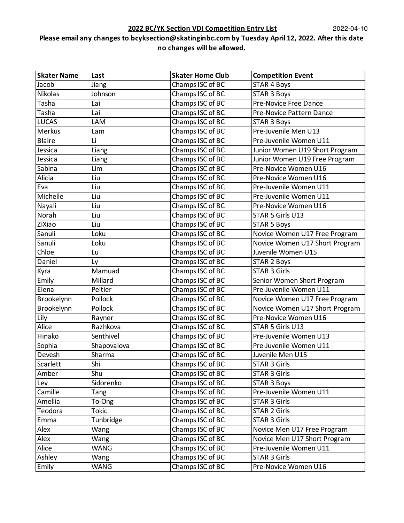| <b>Skater Name</b>              | Last        | <b>Skater Home Club</b> | <b>Competition Event</b>       |
|---------------------------------|-------------|-------------------------|--------------------------------|
| Jacob                           | Jiang       | Champs ISC of BC        | <b>STAR 4 Boys</b>             |
| <b>Nikolas</b>                  | Johnson     | Champs ISC of BC        | <b>STAR 3 Boys</b>             |
| Tasha                           | Lai         | Champs ISC of BC        | Pre-Novice Free Dance          |
| Tasha                           | Lai         | Champs ISC of BC        | Pre-Novice Pattern Dance       |
| <b>LUCAS</b>                    | LAM         | Champs ISC of BC        | <b>STAR 3 Boys</b>             |
| Merkus                          | Lam         | Champs ISC of BC        | Pre-Juvenile Men U13           |
| <b>Blaire</b>                   | Li          | Champs ISC of BC        | Pre-Juvenile Women U11         |
| Jessica                         | Liang       | Champs ISC of BC        | Junior Women U19 Short Program |
| Jessica                         | Liang       | Champs ISC of BC        | Junior Women U19 Free Program  |
| Sabina                          | Lim         | Champs ISC of BC        | Pre-Novice Women U16           |
| Alicia                          | Liu         | Champs ISC of BC        | Pre-Novice Women U16           |
| Eva                             | Liu         | Champs ISC of BC        | Pre-Juvenile Women U11         |
| $\overline{\mathsf{M}}$ ichelle | Liu         | Champs ISC of BC        | Pre-Juvenile Women U11         |
| Nayali                          | Liu         | Champs ISC of BC        | Pre-Novice Women U16           |
| Norah                           | Liu         | Champs ISC of BC        | STAR 5 Girls U13               |
| ZiXiao                          | Liu         | Champs ISC of BC        | <b>STAR 5 Boys</b>             |
| Sanuli                          | Loku        | Champs ISC of BC        | Novice Women U17 Free Program  |
| Sanuli                          | Loku        | Champs ISC of BC        | Novice Women U17 Short Program |
| Chloe                           | Lu          | Champs ISC of BC        | Juvenile Women U15             |
| Daniel                          | Ly          | Champs ISC of BC        | <b>STAR 2 Boys</b>             |
| Kyra                            | Mamuad      | Champs ISC of BC        | <b>STAR 3 Girls</b>            |
| Emily                           | Millard     | Champs ISC of BC        | Senior Women Short Program     |
| Elena                           | Peltier     | Champs ISC of BC        | Pre-Juvenile Women U11         |
| Brookelynn                      | Pollock     | Champs ISC of BC        | Novice Women U17 Free Program  |
| Brookelynn                      | Pollock     | Champs ISC of BC        | Novice Women U17 Short Program |
| Lily                            | Rayner      | Champs ISC of BC        | Pre-Novice Women U16           |
| Alice                           | Razhkova    | Champs ISC of BC        | STAR 5 Girls U13               |
| Hinako                          | Senthivel   | Champs ISC of BC        | Pre-Juvenile Women U13         |
| Sophia                          | Shapovalova | Champs ISC of BC        | Pre-Juvenile Women U11         |
| Devesh                          | Sharma      | Champs ISC of BC        | Juvenile Men U15               |
| Scarlett                        | Shi         | Champs ISC of BC        | <b>STAR 3 Girls</b>            |
| Amber                           | Shu         | Champs ISC of BC        | <b>STAR 3 Girls</b>            |
| Lev                             | Sidorenko   | Champs ISC of BC        | <b>STAR 3 Boys</b>             |
| Camille                         | Tang        | Champs ISC of BC        | Pre-Juvenile Women U11         |
| Amellia                         | To-Ong      | Champs ISC of BC        | <b>STAR 3 Girls</b>            |
| Teodora                         | Tokic       | Champs ISC of BC        | <b>STAR 2 Girls</b>            |
| Emma                            | Tunbridge   | Champs ISC of BC        | <b>STAR 3 Girls</b>            |
| Alex                            | Wang        | Champs ISC of BC        | Novice Men U17 Free Program    |
| Alex                            | Wang        | Champs ISC of BC        | Novice Men U17 Short Program   |
| Alice                           | WANG        | Champs ISC of BC        | Pre-Juvenile Women U11         |
| Ashley                          | Wang        | Champs ISC of BC        | <b>STAR 3 Girls</b>            |
| Emily                           | WANG        | Champs ISC of BC        | Pre-Novice Women U16           |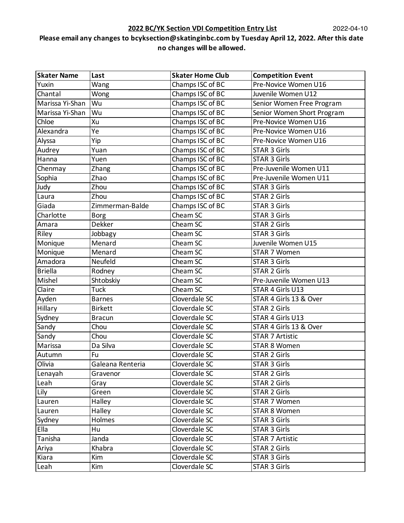| <b>Skater Name</b> | Last             | <b>Skater Home Club</b> | <b>Competition Event</b>   |
|--------------------|------------------|-------------------------|----------------------------|
| Yuxin              | Wang             | Champs ISC of BC        | Pre-Novice Women U16       |
| Chantal            | Wong             | Champs ISC of BC        | Juvenile Women U12         |
| Marissa Yi-Shan    | Wu               | Champs ISC of BC        | Senior Women Free Program  |
| Marissa Yi-Shan    | Wu               | Champs ISC of BC        | Senior Women Short Program |
| Chloe              | Xu               | Champs ISC of BC        | Pre-Novice Women U16       |
| Alexandra          | Ye               | Champs ISC of BC        | Pre-Novice Women U16       |
| Alyssa             | Yip              | Champs ISC of BC        | Pre-Novice Women U16       |
| Audrey             | Yuan             | Champs ISC of BC        | <b>STAR 3 Girls</b>        |
| Hanna              | Yuen             | Champs ISC of BC        | <b>STAR 3 Girls</b>        |
| Chenmay            | Zhang            | Champs ISC of BC        | Pre-Juvenile Women U11     |
| Sophia             | Zhao             | Champs ISC of BC        | Pre-Juvenile Women U11     |
| Judy               | Zhou             | Champs ISC of BC        | <b>STAR 3 Girls</b>        |
| Laura              | Zhou             | Champs ISC of BC        | <b>STAR 2 Girls</b>        |
| Giada              | Zimmerman-Balde  | Champs ISC of BC        | <b>STAR 3 Girls</b>        |
| Charlotte          | <b>Borg</b>      | Cheam SC                | <b>STAR 3 Girls</b>        |
| Amara              | Dekker           | Cheam SC                | <b>STAR 2 Girls</b>        |
| Riley              | Jobbagy          | Cheam SC                | <b>STAR 3 Girls</b>        |
| Monique            | Menard           | Cheam SC                | Juvenile Women U15         |
| Monique            | Menard           | Cheam SC                | <b>STAR 7 Women</b>        |
| Amadora            | Neufeld          | Cheam SC                | <b>STAR 3 Girls</b>        |
| <b>Briella</b>     | Rodney           | Cheam SC                | <b>STAR 2 Girls</b>        |
| Mishel             | Shtobskiy        | Cheam SC                | Pre-Juvenile Women U13     |
| Claire             | Tuck             | Cheam SC                | STAR 4 Girls U13           |
| Ayden              | <b>Barnes</b>    | Cloverdale SC           | STAR 4 Girls 13 & Over     |
| Hillary            | <b>Birkett</b>   | Cloverdale SC           | <b>STAR 2 Girls</b>        |
| Sydney             | <b>Bracun</b>    | Cloverdale SC           | STAR 4 Girls U13           |
| Sandy              | Chou             | Cloverdale SC           | STAR 4 Girls 13 & Over     |
| Sandy              | Chou             | Cloverdale SC           | <b>STAR 7 Artistic</b>     |
| Marissa            | Da Silva         | Cloverdale SC           | <b>STAR 8 Women</b>        |
| Autumn             | Fu               | Cloverdale SC           | <b>STAR 2 Girls</b>        |
| Olivia             | Galeana Renteria | Cloverdale SC           | STAR 3 Girls               |
| Lenayah            | Gravenor         | Cloverdale SC           | <b>STAR 2 Girls</b>        |
| Leah               | Gray             | Cloverdale SC           | <b>STAR 2 Girls</b>        |
| Lily               | Green            | Cloverdale SC           | <b>STAR 2 Girls</b>        |
| Lauren             | Halley           | Cloverdale SC           | STAR 7 Women               |
| Lauren             | Halley           | Cloverdale SC           | <b>STAR 8 Women</b>        |
| Sydney             | Holmes           | Cloverdale SC           | STAR 3 Girls               |
| Ella               | Hu               | Cloverdale SC           | <b>STAR 3 Girls</b>        |
| Tanisha            | Janda            | Cloverdale SC           | <b>STAR 7 Artistic</b>     |
| Ariya              | Khabra           | Cloverdale SC           | STAR 2 Girls               |
| Kiara              | Kim              | Cloverdale SC           | <b>STAR 3 Girls</b>        |
| Leah               | Kim              | Cloverdale SC           | STAR 3 Girls               |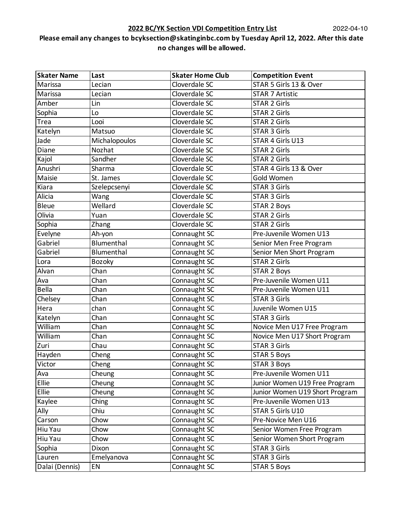| <b>Skater Name</b> | Last              | <b>Skater Home Club</b> | <b>Competition Event</b>       |
|--------------------|-------------------|-------------------------|--------------------------------|
| Marissa            | Lecian            | Cloverdale SC           | STAR 5 Girls 13 & Over         |
| Marissa            | Lecian            | Cloverdale SC           | <b>STAR 7 Artistic</b>         |
| Amber              | Lin               | Cloverdale SC           | <b>STAR 2 Girls</b>            |
| Sophia             | Lo                | Cloverdale SC           | <b>STAR 2 Girls</b>            |
| Trea               | Looi              | Cloverdale SC           | <b>STAR 2 Girls</b>            |
| Katelyn            | Matsuo            | Cloverdale SC           | <b>STAR 3 Girls</b>            |
| Jade               | Michalopoulos     | Cloverdale SC           | STAR 4 Girls U13               |
| Diane              | Nozhat            | Cloverdale SC           | <b>STAR 2 Girls</b>            |
| Kajol              | Sandher           | Cloverdale SC           | <b>STAR 2 Girls</b>            |
| Anushri            | Sharma            | Cloverdale SC           | STAR 4 Girls 13 & Over         |
| Maisie             | St. James         | Cloverdale SC           | Gold Women                     |
| Kiara              | Szelepcsenyi      | Cloverdale SC           | <b>STAR 3 Girls</b>            |
| Alicia             | Wang              | Cloverdale SC           | <b>STAR 3 Girls</b>            |
| <b>Bleue</b>       | Wellard           | Cloverdale SC           | <b>STAR 2 Boys</b>             |
| Olivia             | Yuan              | Cloverdale SC           | <b>STAR 2 Girls</b>            |
| Sophia             | Zhang             | Cloverdale SC           | <b>STAR 2 Girls</b>            |
| Evelyne            | Ah-yon            | Connaught SC            | Pre-Juvenile Women U13         |
| Gabriel            | Blumenthal        | Connaught SC            | Senior Men Free Program        |
| Gabriel            | <b>Blumenthal</b> | Connaught SC            | Senior Men Short Program       |
| Lora               | <b>Bozoky</b>     | Connaught SC            | <b>STAR 2 Girls</b>            |
| Alvan              | Chan              | Connaught SC            | <b>STAR 2 Boys</b>             |
| Ava                | Chan              | Connaught SC            | Pre-Juvenile Women U11         |
| <b>Bella</b>       | Chan              | Connaught SC            | Pre-Juvenile Women U11         |
| Chelsey            | Chan              | Connaught SC            | <b>STAR 3 Girls</b>            |
| Hera               | chan              | Connaught SC            | Juvenile Women U15             |
| Katelyn            | Chan              | Connaught SC            | <b>STAR 3 Girls</b>            |
| William            | Chan              | Connaught SC            | Novice Men U17 Free Program    |
| William            | Chan              | Connaught SC            | Novice Men U17 Short Program   |
| Zuri               | Chau              | Connaught SC            | STAR 3 Girls                   |
| Hayden             | Cheng             | Connaught SC            | <b>STAR 5 Boys</b>             |
| Victor             | Cheng             | Connaught SC            | STAR 3 Boys                    |
| Ava                | Cheung            | Connaught SC            | Pre-Juvenile Women U11         |
| Ellie              | Cheung            | Connaught SC            | Junior Women U19 Free Program  |
| Ellie              | Cheung            | Connaught SC            | Junior Women U19 Short Program |
| Kaylee             | Ching             | Connaught SC            | Pre-Juvenile Women U13         |
| Ally               | Chiu              | Connaught SC            | STAR 5 Girls U10               |
| Carson             | Chow              | Connaught SC            | Pre-Novice Men U16             |
| Hiu Yau            | Chow              | Connaught SC            | Senior Women Free Program      |
| Hiu Yau            | Chow              | Connaught SC            | Senior Women Short Program     |
| Sophia             | Dixon             | Connaught SC            | STAR 3 Girls                   |
| Lauren             | Emelyanova        | Connaught SC            | STAR 3 Girls                   |
| Dalai (Dennis)     | EN                | Connaught SC            | <b>STAR 5 Boys</b>             |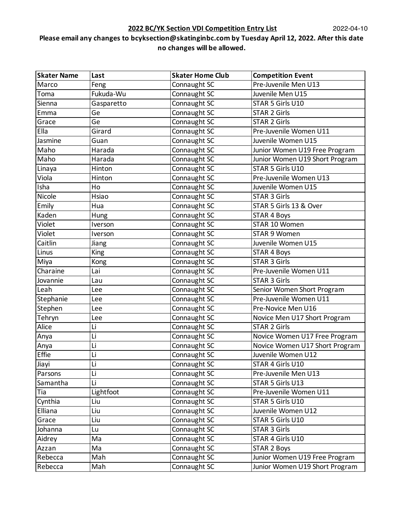| <b>Skater Name</b> | Last        | <b>Skater Home Club</b> | <b>Competition Event</b>       |
|--------------------|-------------|-------------------------|--------------------------------|
| Marco              | Feng        | Connaught SC            | Pre-Juvenile Men U13           |
| Toma               | Fukuda-Wu   | Connaught SC            | Juvenile Men U15               |
| Sienna             | Gasparetto  | Connaught SC            | STAR 5 Girls U10               |
| Emma               | Ge          | Connaught SC            | <b>STAR 2 Girls</b>            |
| Grace              | Ge          | Connaught SC            | <b>STAR 2 Girls</b>            |
| Ella               | Girard      | Connaught SC            | Pre-Juvenile Women U11         |
| Jasmine            | Guan        | Connaught SC            | Juvenile Women U15             |
| Maho               | Harada      | Connaught SC            | Junior Women U19 Free Program  |
| Maho               | Harada      | Connaught SC            | Junior Women U19 Short Program |
| Linaya             | Hinton      | Connaught SC            | STAR 5 Girls U10               |
| Viola              | Hinton      | Connaught SC            | Pre-Juvenile Women U13         |
| Isha               | Ho          | Connaught SC            | Juvenile Women U15             |
| Nicole             | Hsiao       | Connaught SC            | <b>STAR 3 Girls</b>            |
| Emily              | Hua         | Connaught SC            | STAR 5 Girls 13 & Over         |
| Kaden              | Hung        | Connaught SC            | <b>STAR 4 Boys</b>             |
| Violet             | Iverson     | Connaught SC            | STAR 10 Women                  |
| Violet             | Iverson     | Connaught SC            | STAR 9 Women                   |
| Caitlin            | Jiang       | Connaught SC            | Juvenile Women U15             |
| Linus              | <b>King</b> | Connaught SC            | <b>STAR 4 Boys</b>             |
| Miya               | Kong        | Connaught SC            | <b>STAR 3 Girls</b>            |
| Charaine           | Lai         | Connaught SC            | Pre-Juvenile Women U11         |
| Jovannie           | Lau         | Connaught SC            | <b>STAR 3 Girls</b>            |
| Leah               | Lee         | Connaught SC            | Senior Women Short Program     |
| Stephanie          | Lee         | Connaught SC            | Pre-Juvenile Women U11         |
| Stephen            | Lee         | Connaught SC            | Pre-Novice Men U16             |
| Tehryn             | Lee         | Connaught SC            | Novice Men U17 Short Program   |
| Alice              | Li          | Connaught SC            | <b>STAR 2 Girls</b>            |
| Anya               | Li          | Connaught SC            | Novice Women U17 Free Program  |
| Anya               | Li          | Connaught SC            | Novice Women U17 Short Program |
| Effie              | Li          | Connaught SC            | Juvenile Women U12             |
| Jiayi              | Li          | Connaught SC            | STAR 4 Girls U10               |
| Parsons            | Li          | Connaught SC            | Pre-Juvenile Men U13           |
| Samantha           | Li          | Connaught SC            | STAR 5 Girls U13               |
| Tia                | Lightfoot   | Connaught SC            | Pre-Juvenile Women U11         |
| Cynthia            | Liu         | Connaught SC            | STAR 5 Girls U10               |
| Elliana            | Liu         | Connaught SC            | Juvenile Women U12             |
| Grace              | Liu         | Connaught SC            | STAR 5 Girls U10               |
| Johanna            | Lu          | Connaught SC            | <b>STAR 3 Girls</b>            |
| Aidrey             | Ma          | Connaught SC            | STAR 4 Girls U10               |
| Azzan              | Ma          | Connaught SC            | <b>STAR 2 Boys</b>             |
| Rebecca            | Mah         | Connaught SC            | Junior Women U19 Free Program  |
| Rebecca            | Mah         | Connaught SC            | Junior Women U19 Short Program |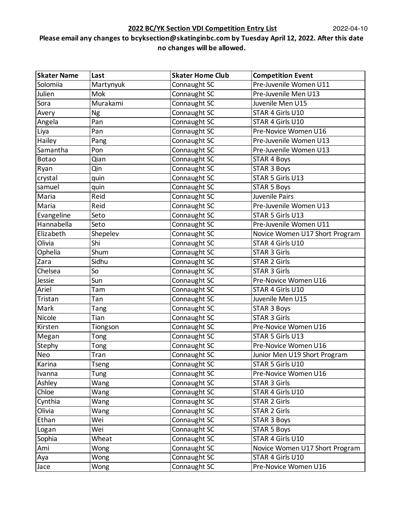| <b>Skater Name</b> | Last         | <b>Skater Home Club</b> | <b>Competition Event</b>       |
|--------------------|--------------|-------------------------|--------------------------------|
| Solomiia           | Martynyuk    | Connaught SC            | Pre-Juvenile Women U11         |
| Julien             | Mok          | Connaught SC            | Pre-Juvenile Men U13           |
| Sora               | Murakami     | Connaught SC            | Juvenile Men U15               |
| Avery              | Ng           | Connaught SC            | STAR 4 Girls U10               |
| Angela             | Pan          | Connaught SC            | STAR 4 Girls U10               |
| Liya               | Pan          | Connaught SC            | Pre-Novice Women U16           |
| Hailey             | Pang         | Connaught SC            | Pre-Juvenile Women U13         |
| Samantha           | Pon          | Connaught SC            | Pre-Juvenile Women U13         |
| <b>Botao</b>       | Qian         | Connaught SC            | <b>STAR 4 Boys</b>             |
| Ryan               | Qin          | Connaught SC            | <b>STAR 3 Boys</b>             |
| crystal            | quin         | Connaught SC            | STAR 5 Girls U13               |
| samuel             | quin         | Connaught SC            | <b>STAR 5 Boys</b>             |
| Maria              | Reid         | Connaught SC            | Juvenile Pairs                 |
| Maria              | Reid         | Connaught SC            | Pre-Juvenile Women U13         |
| Evangeline         | Seto         | Connaught SC            | STAR 5 Girls U13               |
| Hannabella         | Seto         | Connaught SC            | Pre-Juvenile Women U11         |
| Elizabeth          | Shepelev     | Connaught SC            | Novice Women U17 Short Program |
| Olivia             | Shi          | Connaught SC            | STAR 4 Girls U10               |
| Ophelia            | Shum         | Connaught SC            | <b>STAR 3 Girls</b>            |
| Zara               | Sidhu        | Connaught SC            | <b>STAR 2 Girls</b>            |
| Chelsea            | So           | Connaught SC            | <b>STAR 3 Girls</b>            |
| Jessie             | Sun          | Connaught SC            | Pre-Novice Women U16           |
| Ariel              | Tam          | Connaught SC            | STAR 4 Girls U10               |
| Tristan            | Tan          | Connaught SC            | Juvenile Men U15               |
| Mark               | <b>Tang</b>  | Connaught SC            | <b>STAR 3 Boys</b>             |
| Nicole             | Tian         | Connaught SC            | <b>STAR 3 Girls</b>            |
| Kirsten            | Tiongson     | Connaught SC            | Pre-Novice Women U16           |
| Megan              | Tong         | Connaught SC            | STAR 5 Girls U13               |
| Stephy             | Tong         | Connaught SC            | Pre-Novice Women U16           |
| Neo                | Tran         | Connaught SC            | Junior Men U19 Short Program   |
| Karina             | <b>Tseng</b> | Connaught SC            | STAR 5 Girls U10               |
| Ivanna             | Tung         | Connaught SC            | Pre-Novice Women U16           |
| Ashley             | Wang         | Connaught SC            | <b>STAR 3 Girls</b>            |
| Chloe              | Wang         | Connaught SC            | STAR 4 Girls U10               |
| Cynthia            | Wang         | Connaught SC            | <b>STAR 2 Girls</b>            |
| Olivia             | Wang         | Connaught SC            | <b>STAR 2 Girls</b>            |
| Ethan              | Wei          | Connaught SC            | <b>STAR 3 Boys</b>             |
| Logan              | Wei          | Connaught SC            | <b>STAR 5 Boys</b>             |
| Sophia             | Wheat        | Connaught SC            | STAR 4 Girls U10               |
| Ami                | Wong         | Connaught SC            | Novice Women U17 Short Program |
| Aya                | Wong         | Connaught SC            | STAR 4 Girls U10               |
| Jace               | Wong         | Connaught SC            | Pre-Novice Women U16           |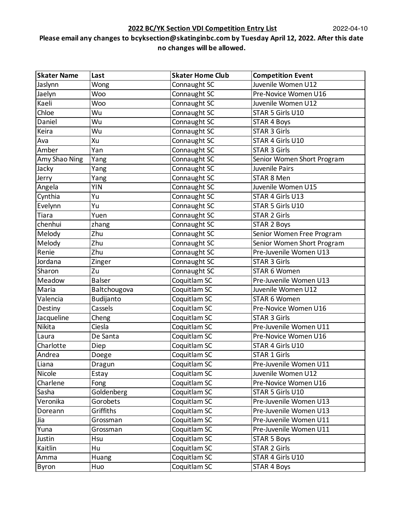| <b>Skater Name</b> | Last          | <b>Skater Home Club</b> | <b>Competition Event</b>   |
|--------------------|---------------|-------------------------|----------------------------|
| Jaslynn            | Wong          | Connaught SC            | Juvenile Women U12         |
| Jaelyn             | Woo           | Connaught SC            | Pre-Novice Women U16       |
| Kaeli              | Woo           | Connaught SC            | Juvenile Women U12         |
| Chloe              | Wu            | Connaught SC            | STAR 5 Girls U10           |
| Daniel             | Wu            | Connaught SC            | <b>STAR 4 Boys</b>         |
| Keira              | Wu            | Connaught SC            | <b>STAR 3 Girls</b>        |
| Ava                | Xu            | Connaught SC            | STAR 4 Girls U10           |
| Amber              | Yan           | Connaught SC            | <b>STAR 3 Girls</b>        |
| Amy Shao Ning      | Yang          | Connaught SC            | Senior Women Short Program |
| Jacky              | Yang          | Connaught SC            | Juvenile Pairs             |
| Jerry              | Yang          | Connaught SC            | STAR 8 Men                 |
| Angela             | <b>YIN</b>    | Connaught SC            | Juvenile Women U15         |
| Cynthia            | Yu            | Connaught SC            | STAR 4 Girls U13           |
| Evelynn            | Yu            | Connaught SC            | STAR 5 Girls U10           |
| Tiara              | Yuen          | Connaught SC            | <b>STAR 2 Girls</b>        |
| chenhui            | zhang         | Connaught SC            | <b>STAR 2 Boys</b>         |
| Melody             | Zhu           | Connaught SC            | Senior Women Free Program  |
| Melody             | Zhu           | Connaught SC            | Senior Women Short Program |
| Renie              | Zhu           | Connaught SC            | Pre-Juvenile Women U13     |
| Jordana            | Zinger        | Connaught SC            | <b>STAR 3 Girls</b>        |
| Sharon             | Zu            | Connaught SC            | STAR 6 Women               |
| Meadow             | <b>Balser</b> | Coquitlam SC            | Pre-Juvenile Women U13     |
| Maria              | Baltchougova  | Coquitlam SC            | Juvenile Women U12         |
| Valencia           | Budijanto     | Coquitlam SC            | STAR 6 Women               |
| Destiny            | Cassels       | Coquitlam SC            | Pre-Novice Women U16       |
| Jacqueline         | Cheng         | Coquitlam SC            | <b>STAR 3 Girls</b>        |
| Nikita             | Ciesla        | Coquitlam SC            | Pre-Juvenile Women U11     |
| Laura              | De Santa      | Coquitlam SC            | Pre-Novice Women U16       |
| Charlotte          | Diep          | Coquitlam SC            | STAR 4 Girls U10           |
| Andrea             | Doege         | Coquitlam SC            | <b>STAR 1 Girls</b>        |
| Liana              | Dragun        | Coquitlam SC            | Pre-Juvenile Women U11     |
| Nicole             | Estay         | Coquitlam SC            | Juvenile Women U12         |
| Charlene           | Fong          | Coquitlam SC            | Pre-Novice Women U16       |
| Sasha              | Goldenberg    | Coquitlam SC            | STAR 5 Girls U10           |
| Veronika           | Gorobets      | Coquitlam SC            | Pre-Juvenile Women U13     |
| Doreann            | Griffiths     | Coquitlam SC            | Pre-Juvenile Women U13     |
| Jia                | Grossman      | Coquitlam SC            | Pre-Juvenile Women U11     |
| Yuna               | Grossman      | Coquitlam SC            | Pre-Juvenile Women U11     |
| Justin             | Hsu           | Coquitlam SC            | <b>STAR 5 Boys</b>         |
| Kaitlin            | Hu            | Coquitlam SC            | STAR 2 Girls               |
| Amma               | Huang         | Coquitlam SC            | STAR 4 Girls U10           |
| Byron              | Huo           | Coquitlam SC            | <b>STAR 4 Boys</b>         |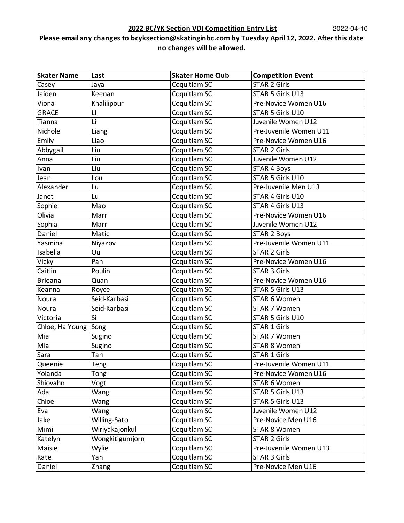| <b>Skater Name</b> | Last            | <b>Skater Home Club</b> | <b>Competition Event</b> |
|--------------------|-----------------|-------------------------|--------------------------|
| Casey              | Jaya            | Coquitlam SC            | <b>STAR 2 Girls</b>      |
| Jaiden             | Keenan          | Coquitlam SC            | STAR 5 Girls U13         |
| Viona              | Khalilipour     | Coquitlam SC            | Pre-Novice Women U16     |
| <b>GRACE</b>       | LI              | Coquitlam SC            | STAR 5 Girls U10         |
| Tianna             | Li              | Coquitlam SC            | Juvenile Women U12       |
| Nichole            | Liang           | Coquitlam SC            | Pre-Juvenile Women U11   |
| Emily              | Liao            | Coquitlam SC            | Pre-Novice Women U16     |
| Abbygail           | Liu             | Coquitlam SC            | <b>STAR 2 Girls</b>      |
| Anna               | Liu             | Coquitlam SC            | Juvenile Women U12       |
| Ivan               | Liu             | Coquitlam SC            | <b>STAR 4 Boys</b>       |
| Jean               | Lou             | Coquitlam SC            | STAR 5 Girls U10         |
| Alexander          | Lu              | Coquitlam SC            | Pre-Juvenile Men U13     |
| Janet              | Lu              | Coquitlam SC            | STAR 4 Girls U10         |
| Sophie             | Mao             | Coquitlam SC            | STAR 4 Girls U13         |
| Olivia             | Marr            | Coquitlam SC            | Pre-Novice Women U16     |
| Sophia             | Marr            | Coquitlam SC            | Juvenile Women U12       |
| Daniel             | Matic           | Coquitlam SC            | <b>STAR 2 Boys</b>       |
| Yasmina            | Niyazov         | Coquitlam SC            | Pre-Juvenile Women U11   |
| Isabella           | Ou              | Coquitlam SC            | <b>STAR 2 Girls</b>      |
| Vicky              | Pan             | Coquitlam SC            | Pre-Novice Women U16     |
| Caitlin            | Poulin          | Coquitlam SC            | <b>STAR 3 Girls</b>      |
| <b>Brieana</b>     | Quan            | Coquitlam SC            | Pre-Novice Women U16     |
| Keanna             | Royce           | Coquitlam SC            | STAR 5 Girls U13         |
| Noura              | Seid-Karbasi    | Coquitlam SC            | STAR 6 Women             |
| Noura              | Seid-Karbasi    | Coquitlam SC            | STAR 7 Women             |
| Victoria           | Si              | Coquitlam SC            | STAR 5 Girls U10         |
| Chloe, Ha Young    | Song            | Coquitlam SC            | <b>STAR 1 Girls</b>      |
| Mia                | Sugino          | Coquitlam SC            | STAR 7 Women             |
| Mia                | Sugino          | Coquitlam SC            | <b>STAR 8 Women</b>      |
| Sara               | Tan             | Coquitlam SC            | <b>STAR 1 Girls</b>      |
| Queenie            | Teng            | Coquitlam SC            | Pre-Juvenile Women U11   |
| Yolanda            | Tong            | Coquitlam SC            | Pre-Novice Women U16     |
| Shiovahn           | Vogt            | Coquitlam SC            | STAR 6 Women             |
| Ada                | Wang            | Coquitlam SC            | STAR 5 Girls U13         |
| Chloe              | Wang            | Coquitlam SC            | STAR 5 Girls U13         |
| Eva                | Wang            | Coquitlam SC            | Juvenile Women U12       |
| Jake               | Willing-Sato    | Coquitlam SC            | Pre-Novice Men U16       |
| Mimi               | Wiriyakajonkul  | Coquitlam SC            | <b>STAR 8 Women</b>      |
| Katelyn            | Wongkitigumjorn | Coquitlam SC            | <b>STAR 2 Girls</b>      |
| Maisie             | Wylie           | Coquitlam SC            | Pre-Juvenile Women U13   |
| Kate               | Yan             | Coquitlam SC            | <b>STAR 3 Girls</b>      |
| Daniel             | Zhang           | Coquitlam SC            | Pre-Novice Men U16       |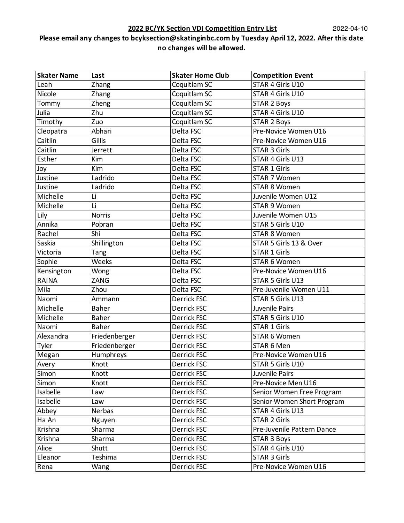### **2022 BC/YK Section VDI Competition Entry List**

| <b>Skater Name</b> | Last          | <b>Skater Home Club</b> | <b>Competition Event</b>   |
|--------------------|---------------|-------------------------|----------------------------|
| Leah               | Zhang         | Coquitlam SC            | STAR 4 Girls U10           |
| Nicole             | Zhang         | Coquitlam SC            | STAR 4 Girls U10           |
| Tommy              | Zheng         | Coquitlam SC            | <b>STAR 2 Boys</b>         |
| Julia              | Zhu           | Coquitlam SC            | STAR 4 Girls U10           |
| Timothy            | Zuo           | Coquitlam SC            | <b>STAR 2 Boys</b>         |
| Cleopatra          | Abhari        | Delta FSC               | Pre-Novice Women U16       |
| Caitlin            | Gillis        | Delta FSC               | Pre-Novice Women U16       |
| Caitlin            | Jerrett       | Delta FSC               | <b>STAR 3 Girls</b>        |
| Esther             | Kim           | Delta FSC               | STAR 4 Girls U13           |
| Joy                | Kim           | Delta FSC               | <b>STAR 1 Girls</b>        |
| Justine            | Ladrido       | Delta FSC               | STAR 7 Women               |
| Justine            | Ladrido       | Delta FSC               | STAR 8 Women               |
| Michelle           | Li            | Delta FSC               | Juvenile Women U12         |
| Michelle           | Li            | Delta FSC               | <b>STAR 9 Women</b>        |
| Lily               | <b>Norris</b> | Delta FSC               | Juvenile Women U15         |
| Annika             | Pobran        | Delta FSC               | STAR 5 Girls U10           |
| Rachel             | Shi           | Delta FSC               | <b>STAR 8 Women</b>        |
| Saskia             | Shillington   | Delta FSC               | STAR 5 Girls 13 & Over     |
| Victoria           | Tang          | Delta FSC               | <b>STAR 1 Girls</b>        |
| Sophie             | Weeks         | Delta FSC               | STAR 6 Women               |
| Kensington         | Wong          | Delta FSC               | Pre-Novice Women U16       |
| <b>RAINA</b>       | ZANG          | Delta FSC               | STAR 5 Girls U13           |
| Mila               | Zhou          | Delta FSC               | Pre-Juvenile Women U11     |
| Naomi              | Ammann        | Derrick FSC             | STAR 5 Girls U13           |
| Michelle           | <b>Baher</b>  | <b>Derrick FSC</b>      | Juvenile Pairs             |
| Michelle           | <b>Baher</b>  | Derrick FSC             | STAR 5 Girls U10           |
| Naomi              | <b>Baher</b>  | Derrick FSC             | <b>STAR 1 Girls</b>        |
| Alexandra          | Friedenberger | Derrick FSC             | STAR 6 Women               |
| Tyler              | Friedenberger | Derrick FSC             | STAR 6 Men                 |
| Megan              | Humphreys     | <b>Derrick FSC</b>      | Pre-Novice Women U16       |
| Avery              | Knott         | <b>Derrick FSC</b>      | STAR 5 Girls U10           |
| Simon              | Knott         | Derrick FSC             | Juvenile Pairs             |
| Simon              | Knott         | Derrick FSC             | Pre-Novice Men U16         |
| Isabelle           | Law           | Derrick FSC             | Senior Women Free Program  |
| Isabelle           | Law           | Derrick FSC             | Senior Women Short Program |
| Abbey              | Nerbas        | Derrick FSC             | STAR 4 Girls U13           |
| Ha An              | Nguyen        | Derrick FSC             | <b>STAR 2 Girls</b>        |
| Krishna            | Sharma        | Derrick FSC             | Pre-Juvenile Pattern Dance |
| Krishna            | Sharma        | Derrick FSC             | <b>STAR 3 Boys</b>         |
| Alice              | Shutt         | Derrick FSC             | STAR 4 Girls U10           |
| Eleanor            | Teshima       | Derrick FSC             | <b>STAR 3 Girls</b>        |
| Rena               | Wang          | Derrick FSC             | Pre-Novice Women U16       |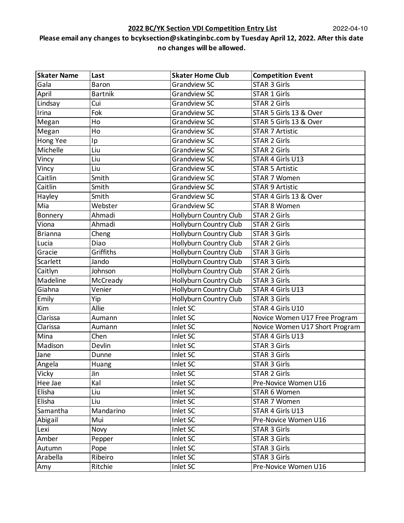| <b>Skater Name</b> | Last           | <b>Skater Home Club</b>       | <b>Competition Event</b>       |
|--------------------|----------------|-------------------------------|--------------------------------|
| Gala               | Baron          | <b>Grandview SC</b>           | <b>STAR 3 Girls</b>            |
| April              | <b>Bartnik</b> | Grandview SC                  | <b>STAR 1 Girls</b>            |
| Lindsay            | Cui            | <b>Grandview SC</b>           | <b>STAR 2 Girls</b>            |
| Irina              | Fok            | <b>Grandview SC</b>           | STAR 5 Girls 13 & Over         |
| Megan              | Ho             | Grandview SC                  | STAR 5 Girls 13 & Over         |
| Megan              | Ho             | <b>Grandview SC</b>           | <b>STAR 7 Artistic</b>         |
| Hong Yee           | Ip             | <b>Grandview SC</b>           | <b>STAR 2 Girls</b>            |
| Michelle           | Liu            | <b>Grandview SC</b>           | <b>STAR 2 Girls</b>            |
| Vincy              | Liu            | <b>Grandview SC</b>           | STAR 4 Girls U13               |
| Vincy              | Liu            | <b>Grandview SC</b>           | <b>STAR 5 Artistic</b>         |
| Caitlin            | Smith          | <b>Grandview SC</b>           | STAR 7 Women                   |
| Caitlin            | Smith          | <b>Grandview SC</b>           | <b>STAR 9 Artistic</b>         |
| Hayley             | Smith          | <b>Grandview SC</b>           | STAR 4 Girls 13 & Over         |
| Mia                | Webster        | <b>Grandview SC</b>           | <b>STAR 8 Women</b>            |
| Bonnery            | Ahmadi         | Hollyburn Country Club        | <b>STAR 2 Girls</b>            |
| Viona              | Ahmadi         | Hollyburn Country Club        | <b>STAR 2 Girls</b>            |
| <b>Brianna</b>     | Cheng          | <b>Hollyburn Country Club</b> | <b>STAR 3 Girls</b>            |
| Lucia              | Diao           | Hollyburn Country Club        | <b>STAR 2 Girls</b>            |
| Gracie             | Griffiths      | Hollyburn Country Club        | <b>STAR 3 Girls</b>            |
| Scarlett           | Jando          | Hollyburn Country Club        | <b>STAR 3 Girls</b>            |
| Caitlyn            | Johnson        | Hollyburn Country Club        | <b>STAR 2 Girls</b>            |
| Madeline           | McCready       | Hollyburn Country Club        | <b>STAR 3 Girls</b>            |
| Giahna             | Venier         | <b>Hollyburn Country Club</b> | STAR 4 Girls U13               |
| Emily              | Yip            | Hollyburn Country Club        | <b>STAR 3 Girls</b>            |
| Kim                | Allie          | Inlet SC                      | STAR 4 Girls U10               |
| Clarissa           | Aumann         | Inlet SC                      | Novice Women U17 Free Program  |
| Clarissa           | Aumann         | Inlet SC                      | Novice Women U17 Short Program |
| Mina               | Chen           | Inlet SC                      | STAR 4 Girls U13               |
| Madison            | Devlin         | Inlet SC                      | <b>STAR 3 Girls</b>            |
| Jane               | Dunne          | Inlet SC                      | <b>STAR 3 Girls</b>            |
| Angela             | Huang          | Inlet SC                      | <b>STAR 3 Girls</b>            |
| Vicky              | Jin            | Inlet SC                      | <b>STAR 2 Girls</b>            |
| Hee Jae            | Kal            | Inlet SC                      | Pre-Novice Women U16           |
| Elisha             | Liu            | Inlet SC                      | STAR 6 Women                   |
| Elisha             | Liu            | Inlet SC                      | STAR 7 Women                   |
| Samantha           | Mandarino      | Inlet SC                      | STAR 4 Girls U13               |
| Abigail            | Mui            | Inlet SC                      | Pre-Novice Women U16           |
| Lexi               | Novy           | Inlet SC                      | <b>STAR 3 Girls</b>            |
| Amber              | Pepper         | Inlet SC                      | <b>STAR 3 Girls</b>            |
| Autumn             | Pope           | Inlet SC                      | <b>STAR 3 Girls</b>            |
| Arabella           | Ribeiro        | Inlet SC                      | <b>STAR 3 Girls</b>            |
| Amy                | Ritchie        | Inlet SC                      | Pre-Novice Women U16           |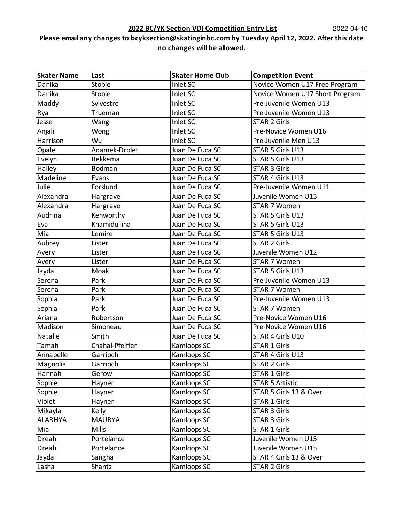| <b>Skater Name</b> | Last            | <b>Skater Home Club</b> | <b>Competition Event</b>       |
|--------------------|-----------------|-------------------------|--------------------------------|
| Danika             | Stobie          | Inlet SC                | Novice Women U17 Free Program  |
| Danika             | Stobie          | Inlet SC                | Novice Women U17 Short Program |
| Maddy              | Sylvestre       | Inlet SC                | Pre-Juvenile Women U13         |
| Rya                | Trueman         | Inlet SC                | Pre-Juvenile Women U13         |
| Jesse              | Wang            | Inlet SC                | <b>STAR 2 Girls</b>            |
| Anjali             | Wong            | Inlet SC                | Pre-Novice Women U16           |
| Harrison           | Wu              | Inlet SC                | Pre-Juvenile Men U13           |
| Opale              | Adamek-Drolet   | Juan De Fuca SC         | STAR 5 Girls U13               |
| Evelyn             | Bekkema         | Juan De Fuca SC         | STAR 5 Girls U13               |
| Hailey             | <b>Bodman</b>   | Juan De Fuca SC         | <b>STAR 3 Girls</b>            |
| Madeline           | Evans           | Juan De Fuca SC         | STAR 4 Girls U13               |
| Julie              | Forslund        | Juan De Fuca SC         | Pre-Juvenile Women U11         |
| Alexandra          | Hargrave        | Juan De Fuca SC         | Juvenile Women U15             |
| Alexandra          | Hargrave        | Juan De Fuca SC         | STAR 7 Women                   |
| Audrina            | Kenworthy       | Juan De Fuca SC         | STAR 5 Girls U13               |
| Eva                | Khamidullina    | Juan De Fuca SC         | STAR 5 Girls U13               |
| Mia                | Lemire          | Juan De Fuca SC         | STAR 5 Girls U13               |
| Aubrey             | Lister          | Juan De Fuca SC         | <b>STAR 2 Girls</b>            |
| Avery              | Lister          | Juan De Fuca SC         | Juvenile Women U12             |
| Avery              | Lister          | Juan De Fuca SC         | <b>STAR 7 Women</b>            |
| Jayda              | Moak            | Juan De Fuca SC         | STAR 5 Girls U13               |
| Serena             | Park            | Juan De Fuca SC         | Pre-Juvenile Women U13         |
| Serena             | Park            | Juan De Fuca SC         | STAR 7 Women                   |
| Sophia             | Park            | Juan De Fuca SC         | Pre-Juvenile Women U13         |
| Sophia             | Park            | Juan De Fuca SC         | STAR 7 Women                   |
| Ariana             | Robertson       | Juan De Fuca SC         | Pre-Novice Women U16           |
| Madison            | Simoneau        | Juan De Fuca SC         | Pre-Novice Women U16           |
| Natalie            | Smith           | Juan De Fuca SC         | STAR 4 Girls U10               |
| Tamah              | Chahal-Pfeiffer | Kamloops SC             | <b>STAR 1 Girls</b>            |
| Annabelle          | Garrioch        | Kamloops SC             | STAR 4 Girls U13               |
| Magnolia           | Garrioch        | Kamloops SC             | <b>STAR 2 Girls</b>            |
| Hannah             | Gerow           | Kamloops SC             | <b>STAR 1 Girls</b>            |
| Sophie             | Hayner          | Kamloops SC             | <b>STAR 5 Artistic</b>         |
| Sophie             | Hayner          | Kamloops SC             | STAR 5 Girls 13 & Over         |
| Violet             | Hayner          | Kamloops SC             | <b>STAR 1 Girls</b>            |
| Mikayla            | Kelly           | Kamloops SC             | <b>STAR 3 Girls</b>            |
| <b>ALABHYA</b>     | <b>MAURYA</b>   | Kamloops SC             | <b>STAR 3 Girls</b>            |
| Mia                | Mills           | Kamloops SC             | <b>STAR 1 Girls</b>            |
| Dreah              | Portelance      | Kamloops SC             | Juvenile Women U15             |
| Dreah              | Portelance      | Kamloops SC             | Juvenile Women U15             |
| Jayda              | Sangha          | Kamloops SC             | STAR 4 Girls 13 & Over         |
| Lasha              | Shantz          | Kamloops SC             | <b>STAR 2 Girls</b>            |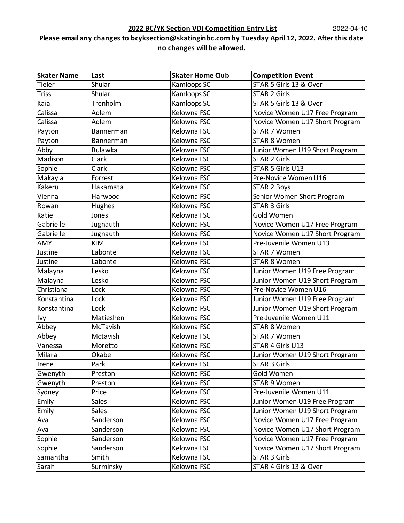### **2022 BC/YK Section VDI Competition Entry List**

| <b>Skater Name</b> | Last           | <b>Skater Home Club</b> | <b>Competition Event</b>       |
|--------------------|----------------|-------------------------|--------------------------------|
| Tieler             | Shular         | Kamloops SC             | STAR 5 Girls 13 & Over         |
| <b>Triss</b>       | Shular         | Kamloops SC             | <b>STAR 2 Girls</b>            |
| Kaia               | Trenholm       | Kamloops SC             | STAR 5 Girls 13 & Over         |
| Calissa            | Adlem          | Kelowna FSC             | Novice Women U17 Free Program  |
| Calissa            | Adlem          | Kelowna FSC             | Novice Women U17 Short Program |
| Payton             | Bannerman      | Kelowna FSC             | <b>STAR 7 Women</b>            |
| Payton             | Bannerman      | Kelowna FSC             | <b>STAR 8 Women</b>            |
| Abby               | <b>Bulawka</b> | Kelowna FSC             | Junior Women U19 Short Program |
| Madison            | Clark          | Kelowna FSC             | <b>STAR 2 Girls</b>            |
| Sophie             | Clark          | Kelowna FSC             | STAR 5 Girls U13               |
| Makayla            | Forrest        | Kelowna FSC             | Pre-Novice Women U16           |
| Kakeru             | Hakamata       | Kelowna FSC             | <b>STAR 2 Boys</b>             |
| Vienna             | Harwood        | Kelowna FSC             | Senior Women Short Program     |
| Rowan              | Hughes         | Kelowna FSC             | <b>STAR 3 Girls</b>            |
| Katie              | Jones          | Kelowna FSC             | Gold Women                     |
| Gabrielle          | Jugnauth       | Kelowna FSC             | Novice Women U17 Free Program  |
| Gabrielle          | Jugnauth       | Kelowna FSC             | Novice Women U17 Short Program |
| AMY                | <b>KIM</b>     | Kelowna FSC             | Pre-Juvenile Women U13         |
| Justine            | Labonte        | Kelowna FSC             | STAR 7 Women                   |
| Justine            | Labonte        | Kelowna FSC             | <b>STAR 8 Women</b>            |
| Malayna            | Lesko          | Kelowna FSC             | Junior Women U19 Free Program  |
| Malayna            | Lesko          | Kelowna FSC             | Junior Women U19 Short Program |
| Christiana         | Lock           | Kelowna FSC             | Pre-Novice Women U16           |
| Konstantina        | Lock           | Kelowna FSC             | Junior Women U19 Free Program  |
| Konstantina        | Lock           | Kelowna FSC             | Junior Women U19 Short Program |
| Ivy                | Matieshen      | Kelowna FSC             | Pre-Juvenile Women U11         |
| Abbey              | McTavish       | Kelowna FSC             | <b>STAR 8 Women</b>            |
| Abbey              | Mctavish       | Kelowna FSC             | <b>STAR 7 Women</b>            |
| Vanessa            | Moretto        | Kelowna FSC             | STAR 4 Girls U13               |
| Milara             | Okabe          | Kelowna FSC             | Junior Women U19 Short Program |
| Irene              | Park           | Kelowna FSC             | <b>STAR 3 Girls</b>            |
| Gwenyth            | Preston        | Kelowna FSC             | Gold Women                     |
| Gwenyth            | Preston        | Kelowna FSC             | <b>STAR 9 Women</b>            |
| Sydney             | Price          | Kelowna FSC             | Pre-Juvenile Women U11         |
| Emily              | <b>Sales</b>   | Kelowna FSC             | Junior Women U19 Free Program  |
| Emily              | Sales          | Kelowna FSC             | Junior Women U19 Short Program |
| Ava                | Sanderson      | Kelowna FSC             | Novice Women U17 Free Program  |
| Ava                | Sanderson      | Kelowna FSC             | Novice Women U17 Short Program |
| Sophie             | Sanderson      | Kelowna FSC             | Novice Women U17 Free Program  |
| Sophie             | Sanderson      | Kelowna FSC             | Novice Women U17 Short Program |
| Samantha           | Smith          | Kelowna FSC             | <b>STAR 3 Girls</b>            |
| Sarah              | Surminsky      | Kelowna FSC             | STAR 4 Girls 13 & Over         |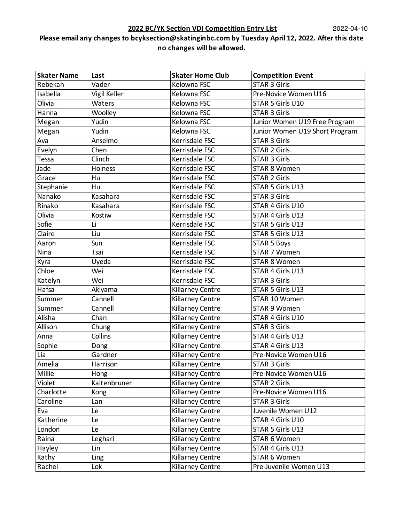| <b>Skater Name</b> | Last         | <b>Skater Home Club</b> | <b>Competition Event</b>       |
|--------------------|--------------|-------------------------|--------------------------------|
| Rebekah            | Vader        | Kelowna FSC             | <b>STAR 3 Girls</b>            |
| Isabella           | Vigil Keller | Kelowna FSC             | Pre-Novice Women U16           |
| Olivia             | Waters       | Kelowna FSC             | STAR 5 Girls U10               |
| Hanna              | Woolley      | Kelowna FSC             | <b>STAR 3 Girls</b>            |
| Megan              | Yudin        | Kelowna FSC             | Junior Women U19 Free Program  |
| Megan              | Yudin        | Kelowna FSC             | Junior Women U19 Short Program |
| Ava                | Anselmo      | Kerrisdale FSC          | <b>STAR 3 Girls</b>            |
| Evelyn             | Chen         | Kerrisdale FSC          | <b>STAR 2 Girls</b>            |
| Tessa              | Clinch       | Kerrisdale FSC          | <b>STAR 3 Girls</b>            |
| Jade               | Holness      | Kerrisdale FSC          | <b>STAR 8 Women</b>            |
| Grace              | Hu           | Kerrisdale FSC          | <b>STAR 2 Girls</b>            |
| Stephanie          | Hu           | Kerrisdale FSC          | STAR 5 Girls U13               |
| Nanako             | Kasahara     | Kerrisdale FSC          | <b>STAR 3 Girls</b>            |
| Rinako             | Kasahara     | Kerrisdale FSC          | STAR 4 Girls U10               |
| Olivia             | Kostiw       | Kerrisdale FSC          | STAR 4 Girls U13               |
| Sofie              | Li           | Kerrisdale FSC          | STAR 5 Girls U13               |
| Claire             | Liu          | Kerrisdale FSC          | STAR 5 Girls U13               |
| Aaron              | Sun          | Kerrisdale FSC          | <b>STAR 5 Boys</b>             |
| Nina               | Tsai         | Kerrisdale FSC          | STAR 7 Women                   |
| Kyra               | Uyeda        | Kerrisdale FSC          | <b>STAR 8 Women</b>            |
| Chloe              | Wei          | Kerrisdale FSC          | STAR 4 Girls U13               |
| Katelyn            | Wei          | Kerrisdale FSC          | <b>STAR 3 Girls</b>            |
| Hafsa              | Akiyama      | Killarney Centre        | STAR 5 Girls U13               |
| Summer             | Cannell      | Killarney Centre        | STAR 10 Women                  |
| Summer             | Cannell      | Killarney Centre        | <b>STAR 9 Women</b>            |
| Alisha             | Chan         | Killarney Centre        | STAR 4 Girls U10               |
| Allison            | Chung        | Killarney Centre        | <b>STAR 3 Girls</b>            |
| Anna               | Collins      | Killarney Centre        | STAR 4 Girls U13               |
| Sophie             | Dong         | Killarney Centre        | STAR 4 Girls U13               |
| Lia                | Gardner      | Killarney Centre        | Pre-Novice Women U16           |
| Amelia             | Harrison     | Killarney Centre        | STAR 3 Girls                   |
| Millie             | Hong         | Killarney Centre        | Pre-Novice Women U16           |
| Violet             | Kaltenbruner | <b>Killarney Centre</b> | <b>STAR 2 Girls</b>            |
| Charlotte          | Kong         | Killarney Centre        | Pre-Novice Women U16           |
| Caroline           | Lan          | Killarney Centre        | <b>STAR 3 Girls</b>            |
| Eva                | Le           | Killarney Centre        | Juvenile Women U12             |
| Katherine          | Le           | Killarney Centre        | STAR 4 Girls U10               |
| London             | Le           | Killarney Centre        | STAR 5 Girls U13               |
| Raina              | Leghari      | Killarney Centre        | STAR 6 Women                   |
| Hayley             | Lin          | Killarney Centre        | STAR 4 Girls U13               |
| Kathy              | Ling         | Killarney Centre        | STAR 6 Women                   |
| Rachel             | Lok          | Killarney Centre        | Pre-Juvenile Women U13         |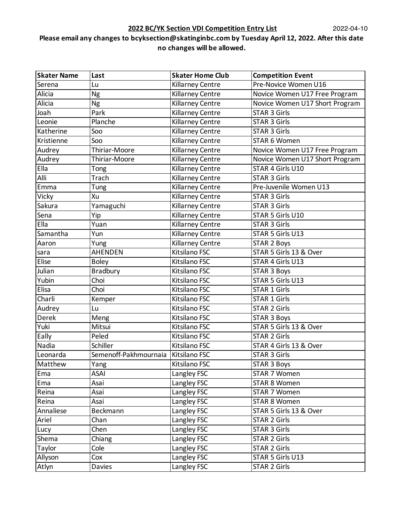| <b>Skater Name</b> | Last                  | <b>Skater Home Club</b> | <b>Competition Event</b>       |
|--------------------|-----------------------|-------------------------|--------------------------------|
| Serena             | Lu                    | <b>Killarney Centre</b> | Pre-Novice Women U16           |
| Alicia             | <b>Ng</b>             | Killarney Centre        | Novice Women U17 Free Program  |
| Alicia             | Ng                    | <b>Killarney Centre</b> | Novice Women U17 Short Program |
| Joah               | Park                  | Killarney Centre        | <b>STAR 3 Girls</b>            |
| Leonie             | Planche               | <b>Killarney Centre</b> | <b>STAR 3 Girls</b>            |
| Katherine          | Soo                   | Killarney Centre        | <b>STAR 3 Girls</b>            |
| Kristienne         | Soo                   | <b>Killarney Centre</b> | STAR 6 Women                   |
| Audrey             | Thiriar-Moore         | <b>Killarney Centre</b> | Novice Women U17 Free Program  |
| Audrey             | Thiriar-Moore         | <b>Killarney Centre</b> | Novice Women U17 Short Program |
| Ella               | Tong                  | <b>Killarney Centre</b> | STAR 4 Girls U10               |
| Alli               | Trach                 | Killarney Centre        | <b>STAR 3 Girls</b>            |
| Emma               | Tung                  | Killarney Centre        | Pre-Juvenile Women U13         |
| Vicky              | Xu                    | Killarney Centre        | <b>STAR 3 Girls</b>            |
| Sakura             | Yamaguchi             | <b>Killarney Centre</b> | <b>STAR 3 Girls</b>            |
| Sena               | Yip                   | Killarney Centre        | STAR 5 Girls U10               |
| Ella               | Yuan                  | <b>Killarney Centre</b> | <b>STAR 3 Girls</b>            |
| Samantha           | Yun                   | Killarney Centre        | STAR 5 Girls U13               |
| Aaron              | Yung                  | Killarney Centre        | <b>STAR 2 Boys</b>             |
| sara               | AHENDEN               | Kitsilano FSC           | STAR 5 Girls 13 & Over         |
| Elise              | <b>Boley</b>          | Kitsilano FSC           | STAR 4 Girls U13               |
| Julian             | <b>Bradbury</b>       | Kitsilano FSC           | <b>STAR 3 Boys</b>             |
| Yubin              | Choi                  | Kitsilano FSC           | STAR 5 Girls U13               |
| Elisa              | Choi                  | Kitsilano FSC           | <b>STAR 1 Girls</b>            |
| Charli             | Kemper                | Kitsilano FSC           | <b>STAR 1 Girls</b>            |
| Audrey             | Lu                    | Kitsilano FSC           | <b>STAR 2 Girls</b>            |
| Derek              | Meng                  | Kitsilano FSC           | <b>STAR 3 Boys</b>             |
| Yuki               | Mitsui                | Kitsilano FSC           | STAR 5 Girls 13 & Over         |
| Eally              | Peled                 | Kitsilano FSC           | <b>STAR 2 Girls</b>            |
| Nadia              | Schiller              | Kitsilano FSC           | STAR 4 Girls 13 & Over         |
| Leonarda           | Semenoff-Pakhmournaia | Kitsilano FSC           | <b>STAR 3 Girls</b>            |
| Matthew            | Yang                  | Kitsilano FSC           | STAR 3 Boys                    |
| Ema                | ASAI                  | Langley FSC             | STAR 7 Women                   |
| Ema                | Asai                  | Langley FSC             | <b>STAR 8 Women</b>            |
| Reina              | Asai                  | Langley FSC             | STAR 7 Women                   |
| Reina              | Asai                  | Langley FSC             | STAR 8 Women                   |
| Annaliese          | Beckmann              | Langley FSC             | STAR 5 Girls 13 & Over         |
| Ariel              | Chan                  | Langley FSC             | <b>STAR 2 Girls</b>            |
| Lucy               | Chen                  | Langley FSC             | <b>STAR 3 Girls</b>            |
| Shema              | Chiang                | Langley FSC             | <b>STAR 2 Girls</b>            |
| Taylor             | Cole                  | Langley FSC             | <b>STAR 2 Girls</b>            |
| Allyson            | Cox                   | Langley FSC             | STAR 5 Girls U13               |
| Atlyn              | Davies                | Langley FSC             | <b>STAR 2 Girls</b>            |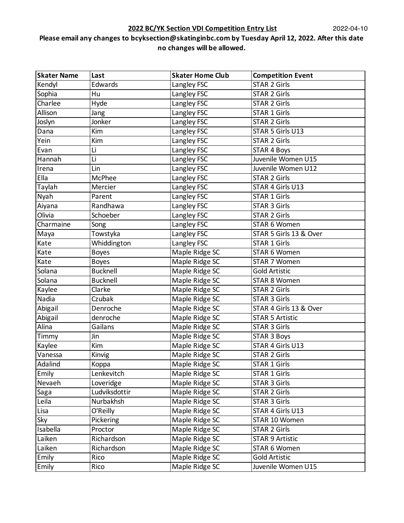| <b>Skater Name</b> | Last            | <b>Skater Home Club</b> | <b>Competition Event</b> |
|--------------------|-----------------|-------------------------|--------------------------|
| Kendyl             | Edwards         | Langley FSC             | <b>STAR 2 Girls</b>      |
| Sophia             | Hu              | Langley FSC             | <b>STAR 2 Girls</b>      |
| Charlee            | Hyde            | Langley FSC             | <b>STAR 2 Girls</b>      |
| Allison            | Jang            | Langley FSC             | <b>STAR 1 Girls</b>      |
| Joslyn             | Jonker          | Langley FSC             | <b>STAR 2 Girls</b>      |
| Dana               | Kim             | Langley FSC             | STAR 5 Girls U13         |
| Yein               | Kim             | Langley FSC             | STAR 2 Girls             |
| Evan               | Li              | Langley FSC             | <b>STAR 4 Boys</b>       |
| Hannah             | Li              | Langley FSC             | Juvenile Women U15       |
| Irena              | Lin             | Langley FSC             | Juvenile Women U12       |
| Ella               | McPhee          | Langley FSC             | <b>STAR 2 Girls</b>      |
| Taylah             | Mercier         | Langley FSC             | STAR 4 Girls U13         |
| Nyah               | Parent          | Langley FSC             | <b>STAR 1 Girls</b>      |
| Aiyana             | Randhawa        | Langley FSC             | <b>STAR 3 Girls</b>      |
| Olivia             | Schoeber        | Langley FSC             | <b>STAR 2 Girls</b>      |
| Charmaine          | Song            | Langley FSC             | STAR 6 Women             |
| Maya               | Towstyka        | Langley FSC             | STAR 5 Girls 13 & Over   |
| Kate               | Whiddington     | Langley FSC             | <b>STAR 1 Girls</b>      |
| Kate               | <b>Boyes</b>    | Maple Ridge SC          | STAR 6 Women             |
| Kate               | <b>Boyes</b>    | Maple Ridge SC          | <b>STAR 7 Women</b>      |
| Solana             | <b>Bucknell</b> | Maple Ridge SC          | <b>Gold Artistic</b>     |
| Solana             | <b>Bucknell</b> | Maple Ridge SC          | <b>STAR 8 Women</b>      |
| Kaylee             | Clarke          | Maple Ridge SC          | <b>STAR 2 Girls</b>      |
| Nadia              | Czubak          | Maple Ridge SC          | <b>STAR 3 Girls</b>      |
| Abigail            | Denroche        | Maple Ridge SC          | STAR 4 Girls 13 & Over   |
| Abigail            | denroche        | Maple Ridge SC          | <b>STAR 5 Artistic</b>   |
| Alina              | Gailans         | Maple Ridge SC          | <b>STAR 3 Girls</b>      |
| Timmy              | Jin             | Maple Ridge SC          | <b>STAR 3 Boys</b>       |
| Kaylee             | Kim             | Maple Ridge SC          | STAR 4 Girls U13         |
| Vanessa            | Kinvig          | Maple Ridge SC          | <b>STAR 2 Girls</b>      |
| Adalind            | Koppa           | Maple Ridge SC          | <b>STAR 1 Girls</b>      |
| Emily              | Lenkevitch      | Maple Ridge SC          | <b>STAR 1 Girls</b>      |
| Nevaeh             | Loveridge       | Maple Ridge SC          | <b>STAR 3 Girls</b>      |
| Saga               | Ludviksdottir   | Maple Ridge SC          | <b>STAR 2 Girls</b>      |
| Leila              | Nurbakhsh       | Maple Ridge SC          | <b>STAR 3 Girls</b>      |
| Lisa               | O'Reilly        | Maple Ridge SC          | STAR 4 Girls U13         |
| Sky                | Pickering       | Maple Ridge SC          | STAR 10 Women            |
| Isabella           | Proctor         | Maple Ridge SC          | <b>STAR 2 Girls</b>      |
| Laiken             | Richardson      | Maple Ridge SC          | <b>STAR 9 Artistic</b>   |
| Laiken             | Richardson      | Maple Ridge SC          | STAR 6 Women             |
| Emily              | Rico            | Maple Ridge SC          | <b>Gold Artistic</b>     |
| Emily              | Rico            | Maple Ridge SC          | Juvenile Women U15       |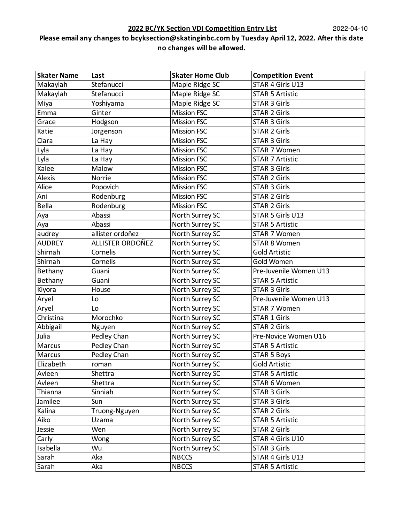#### **2022 BC/YK Section VDI Competition Entry List**

| <b>Skater Name</b> | Last             | <b>Skater Home Club</b> | <b>Competition Event</b> |
|--------------------|------------------|-------------------------|--------------------------|
| Makaylah           | Stefanucci       | Maple Ridge SC          | STAR 4 Girls U13         |
| Makaylah           | Stefanucci       | Maple Ridge SC          | <b>STAR 5 Artistic</b>   |
| Miya               | Yoshiyama        | Maple Ridge SC          | <b>STAR 3 Girls</b>      |
| Emma               | Ginter           | <b>Mission FSC</b>      | <b>STAR 2 Girls</b>      |
| Grace              | Hodgson          | <b>Mission FSC</b>      | <b>STAR 3 Girls</b>      |
| Katie              | Jorgenson        | <b>Mission FSC</b>      | <b>STAR 2 Girls</b>      |
| Clara              | La Hay           | <b>Mission FSC</b>      | <b>STAR 3 Girls</b>      |
| Lyla               | La Hay           | <b>Mission FSC</b>      | STAR 7 Women             |
| Lyla               | La Hay           | <b>Mission FSC</b>      | <b>STAR 7 Artistic</b>   |
| Kalee              | Malow            | <b>Mission FSC</b>      | <b>STAR 3 Girls</b>      |
| Alexis             | Norrie           | <b>Mission FSC</b>      | <b>STAR 2 Girls</b>      |
| Alice              | Popovich         | <b>Mission FSC</b>      | <b>STAR 3 Girls</b>      |
| Ani                | Rodenburg        | <b>Mission FSC</b>      | <b>STAR 2 Girls</b>      |
| <b>Bella</b>       | Rodenburg        | <b>Mission FSC</b>      | <b>STAR 2 Girls</b>      |
| Aya                | Abassi           | North Surrey SC         | STAR 5 Girls U13         |
| Aya                | Abassi           | North Surrey SC         | <b>STAR 5 Artistic</b>   |
| audrey             | allister ordoñez | North Surrey SC         | STAR 7 Women             |
| <b>AUDREY</b>      | ALLISTER ORDOÑEZ | North Surrey SC         | <b>STAR 8 Women</b>      |
| Shirnah            | Cornelis         | North Surrey SC         | <b>Gold Artistic</b>     |
| Shirnah            | Cornelis         | North Surrey SC         | Gold Women               |
| Bethany            | Guani            | North Surrey SC         | Pre-Juvenile Women U13   |
| Bethany            | Guani            | North Surrey SC         | <b>STAR 5 Artistic</b>   |
| Kiyora             | House            | North Surrey SC         | <b>STAR 3 Girls</b>      |
| Aryel              | Lo               | North Surrey SC         | Pre-Juvenile Women U13   |
| Aryel              | Lo               | North Surrey SC         | STAR 7 Women             |
| Christina          | Morochko         | North Surrey SC         | <b>STAR 1 Girls</b>      |
| Abbigail           | Nguyen           | North Surrey SC         | <b>STAR 2 Girls</b>      |
| Julia              | Pedley Chan      | North Surrey SC         | Pre-Novice Women U16     |
| Marcus             | Pedley Chan      | North Surrey SC         | <b>STAR 5 Artistic</b>   |
| Marcus             | Pedley Chan      | North Surrey SC         | <b>STAR 5 Boys</b>       |
| Elizabeth          | roman            | North Surrey SC         | <b>Gold Artistic</b>     |
| Avleen             | Shettra          | North Surrey SC         | <b>STAR 5 Artistic</b>   |
| Avleen             | Shettra          | North Surrey SC         | STAR 6 Women             |
| Thianna            | Sinniah          | North Surrey SC         | <b>STAR 3 Girls</b>      |
| Jamilee            | Sun              | North Surrey SC         | <b>STAR 3 Girls</b>      |
| Kalina             | Truong-Nguyen    | North Surrey SC         | <b>STAR 2 Girls</b>      |
| Aiko               | Uzama            | North Surrey SC         | <b>STAR 5 Artistic</b>   |
| Jessie             | Wen              | North Surrey SC         | <b>STAR 2 Girls</b>      |
| Carly              | Wong             | North Surrey SC         | STAR 4 Girls U10         |
| Isabella           | Wu               | North Surrey SC         | <b>STAR 3 Girls</b>      |
| Sarah              | Aka              | <b>NBCCS</b>            | STAR 4 Girls U13         |
| Sarah              | Aka              | <b>NBCCS</b>            | <b>STAR 5 Artistic</b>   |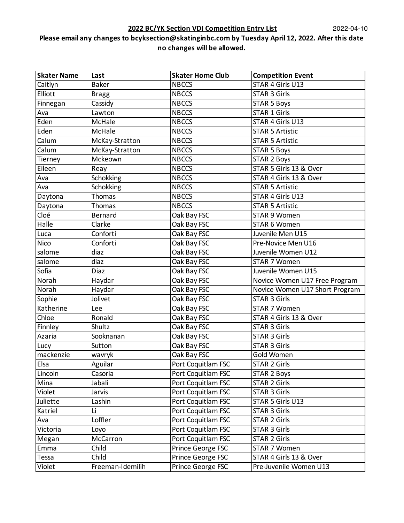| <b>Skater Name</b> | Last             | <b>Skater Home Club</b> | <b>Competition Event</b>       |
|--------------------|------------------|-------------------------|--------------------------------|
| Caitlyn            | <b>Baker</b>     | <b>NBCCS</b>            | STAR 4 Girls U13               |
| Elliott            | <b>Bragg</b>     | <b>NBCCS</b>            | <b>STAR 3 Girls</b>            |
| Finnegan           | Cassidy          | <b>NBCCS</b>            | <b>STAR 5 Boys</b>             |
| Ava                | Lawton           | <b>NBCCS</b>            | <b>STAR 1 Girls</b>            |
| Eden               | McHale           | <b>NBCCS</b>            | STAR 4 Girls U13               |
| Eden               | McHale           | <b>NBCCS</b>            | <b>STAR 5 Artistic</b>         |
| Calum              | McKay-Stratton   | <b>NBCCS</b>            | <b>STAR 5 Artistic</b>         |
| Calum              | McKay-Stratton   | <b>NBCCS</b>            | <b>STAR 5 Boys</b>             |
| Tierney            | Mckeown          | <b>NBCCS</b>            | <b>STAR 2 Boys</b>             |
| Eileen             | Reay             | <b>NBCCS</b>            | STAR 5 Girls 13 & Over         |
| Ava                | Schokking        | <b>NBCCS</b>            | STAR 4 Girls 13 & Over         |
| Ava                | Schokking        | <b>NBCCS</b>            | <b>STAR 5 Artistic</b>         |
| Daytona            | Thomas           | <b>NBCCS</b>            | STAR 4 Girls U13               |
| Daytona            | Thomas           | <b>NBCCS</b>            | <b>STAR 5 Artistic</b>         |
| Cloé               | Bernard          | Oak Bay FSC             | <b>STAR 9 Women</b>            |
| Halle              | Clarke           | Oak Bay FSC             | STAR 6 Women                   |
| Luca               | Conforti         | Oak Bay FSC             | Juvenile Men U15               |
| <b>Nico</b>        | Conforti         | Oak Bay FSC             | Pre-Novice Men U16             |
| salome             | diaz             | Oak Bay FSC             | Juvenile Women U12             |
| salome             | diaz             | Oak Bay FSC             | STAR 7 Women                   |
| Sofia              | Diaz             | Oak Bay FSC             | Juvenile Women U15             |
| Norah              | Haydar           | Oak Bay FSC             | Novice Women U17 Free Program  |
| Norah              | Haydar           | Oak Bay FSC             | Novice Women U17 Short Program |
| Sophie             | Jolivet          | Oak Bay FSC             | <b>STAR 3 Girls</b>            |
| Katherine          | Lee              | Oak Bay FSC             | <b>STAR 7 Women</b>            |
| Chloe              | Ronald           | Oak Bay FSC             | STAR 4 Girls 13 & Over         |
| Finnley            | Shultz           | Oak Bay FSC             | <b>STAR 3 Girls</b>            |
| Azaria             | Sooknanan        | Oak Bay FSC             | <b>STAR 3 Girls</b>            |
| Lucy               | Sutton           | Oak Bay FSC             | <b>STAR 3 Girls</b>            |
| mackenzie          | wavryk           | Oak Bay FSC             | Gold Women                     |
| Elsa               | Aguilar          | Port Coquitlam FSC      | <b>STAR 2 Girls</b>            |
| Lincoln            | Casoria          | Port Coquitlam FSC      | <b>STAR 2 Boys</b>             |
| Mina               | Jabali           | Port Coquitlam FSC      | <b>STAR 2 Girls</b>            |
| Violet             | Jarvis           | Port Coquitlam FSC      | STAR 3 Girls                   |
| Juliette           | Lashin           | Port Coquitlam FSC      | STAR 5 Girls U13               |
| Katriel            | Li               | Port Coquitlam FSC      | <b>STAR 3 Girls</b>            |
| Ava                | Loffler          | Port Coquitlam FSC      | STAR 2 Girls                   |
| Victoria           | Loyo             | Port Coquitlam FSC      | STAR 3 Girls                   |
| Megan              | McCarron         | Port Coquitlam FSC      | <b>STAR 2 Girls</b>            |
| Emma               | Child            | Prince George FSC       | STAR 7 Women                   |
| Tessa              | Child            | Prince George FSC       | STAR 4 Girls 13 & Over         |
| Violet             | Freeman-Idemilih | Prince George FSC       | Pre-Juvenile Women U13         |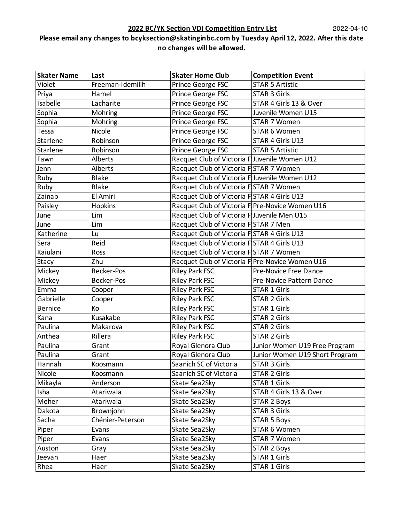#### **2022 BC/YK Section VDI Competition Entry List**

| <b>Skater Name</b> | Last              | <b>Skater Home Club</b>                         | <b>Competition Event</b>       |
|--------------------|-------------------|-------------------------------------------------|--------------------------------|
| Violet             | Freeman-Idemilih  | Prince George FSC                               | <b>STAR 5 Artistic</b>         |
| Priya              | Hamel             | Prince George FSC                               | <b>STAR 3 Girls</b>            |
| Isabelle           | Lacharite         | Prince George FSC                               | STAR 4 Girls 13 & Over         |
| Sophia             | Mohring           | Prince George FSC                               | Juvenile Women U15             |
| Sophia             | Mohring           | Prince George FSC                               | STAR 7 Women                   |
| Tessa              | Nicole            | Prince George FSC                               | STAR 6 Women                   |
| Starlene           | Robinson          | Prince George FSC                               | STAR 4 Girls U13               |
| Starlene           | Robinson          | Prince George FSC                               | <b>STAR 5 Artistic</b>         |
| Fawn               | Alberts           | Racquet Club of Victoria FJuvenile Women U12    |                                |
| Jenn               | Alberts           | Racquet Club of Victoria FSTAR 7 Women          |                                |
| Ruby               | <b>Blake</b>      | Racquet Club of Victoria FJuvenile Women U12    |                                |
| Ruby               | <b>Blake</b>      | Racquet Club of Victoria FSTAR 7 Women          |                                |
| Zainab             | El Amiri          | Racquet Club of Victoria FSTAR 4 Girls U13      |                                |
| Paisley            | <b>Hopkins</b>    | Racquet Club of Victoria F Pre-Novice Women U16 |                                |
| June               | Lim               | Racquet Club of Victoria FJuvenile Men U15      |                                |
| June               | Lim               | Racquet Club of Victoria FISTAR 7 Men           |                                |
| Katherine          | Lu                | Racquet Club of Victoria FISTAR 4 Girls U13     |                                |
| Sera               | Reid              | Racquet Club of Victoria FSTAR 4 Girls U13      |                                |
| Kaiulani           | Ross              | Racquet Club of Victoria FSTAR 7 Women          |                                |
| Stacy              | Zhu               | Racquet Club of Victoria F Pre-Novice Women U16 |                                |
| Mickey             | <b>Becker-Pos</b> | <b>Riley Park FSC</b>                           | Pre-Novice Free Dance          |
| Mickey             | <b>Becker-Pos</b> | Riley Park FSC                                  | Pre-Novice Pattern Dance       |
| Emma               | Cooper            | Riley Park FSC                                  | <b>STAR 1 Girls</b>            |
| Gabrielle          | Cooper            | <b>Riley Park FSC</b>                           | <b>STAR 2 Girls</b>            |
| <b>Bernice</b>     | Ko                | <b>Riley Park FSC</b>                           | <b>STAR 1 Girls</b>            |
| Kana               | Kusakabe          | <b>Riley Park FSC</b>                           | <b>STAR 2 Girls</b>            |
| Paulina            | Makarova          | <b>Riley Park FSC</b>                           | <b>STAR 2 Girls</b>            |
| Anthea             | Rillera           | Riley Park FSC                                  | <b>STAR 2 Girls</b>            |
| Paulina            | Grant             | Royal Glenora Club                              | Junior Women U19 Free Program  |
| Paulina            | Grant             | Royal Glenora Club                              | Junior Women U19 Short Program |
| Hannah             | Koosmann          | Saanich SC of Victoria                          | STAR 3 Girls                   |
| Nicole             | Koosmann          | Saanich SC of Victoria                          | <b>STAR 2 Girls</b>            |
| Mikayla            | Anderson          | Skate Sea2Sky                                   | <b>STAR 1 Girls</b>            |
| Isha               | Atariwala         | Skate Sea2Sky                                   | STAR 4 Girls 13 & Over         |
| Meher              | Atariwala         | Skate Sea2Sky                                   | <b>STAR 2 Boys</b>             |
| Dakota             | Brownjohn         | Skate Sea2Sky                                   | <b>STAR 3 Girls</b>            |
| Sacha              | Chénier-Peterson  | Skate Sea2Sky                                   | <b>STAR 5 Boys</b>             |
| Piper              | Evans             | Skate Sea2Sky                                   | STAR 6 Women                   |
| Piper              | Evans             | Skate Sea2Sky                                   | STAR 7 Women                   |
| Auston             | Gray              | Skate Sea2Sky                                   | <b>STAR 2 Boys</b>             |
| Jeevan             | Haer              | Skate Sea2Sky                                   | <b>STAR 1 Girls</b>            |
| Rhea               | Haer              | Skate Sea2Sky                                   | STAR 1 Girls                   |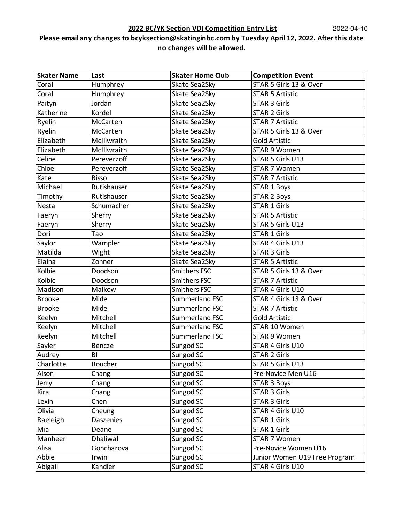| <b>Skater Name</b> | Last        | <b>Skater Home Club</b> | <b>Competition Event</b>      |
|--------------------|-------------|-------------------------|-------------------------------|
| Coral              | Humphrey    | Skate Sea2Sky           | STAR 5 Girls 13 & Over        |
| Coral              | Humphrey    | Skate Sea2Sky           | <b>STAR 5 Artistic</b>        |
| Paityn             | Jordan      | Skate Sea2Sky           | <b>STAR 3 Girls</b>           |
| Katherine          | Kordel      | Skate Sea2Sky           | <b>STAR 2 Girls</b>           |
| Ryelin             | McCarten    | Skate Sea2Sky           | <b>STAR 7 Artistic</b>        |
| Ryelin             | McCarten    | Skate Sea2Sky           | STAR 5 Girls 13 & Over        |
| Elizabeth          | McIllwraith | Skate Sea2Sky           | <b>Gold Artistic</b>          |
| Elizabeth          | McIllwraith | Skate Sea2Sky           | <b>STAR 9 Women</b>           |
| Celine             | Pereverzoff | Skate Sea2Sky           | STAR 5 Girls U13              |
| Chloe              | Pereverzoff | Skate Sea2Sky           | STAR 7 Women                  |
| Kate               | Risso       | Skate Sea2Sky           | <b>STAR 7 Artistic</b>        |
| Michael            | Rutishauser | Skate Sea2Sky           | <b>STAR 1 Boys</b>            |
| Timothy            | Rutishauser | Skate Sea2Sky           | <b>STAR 2 Boys</b>            |
| Nesta              | Schumacher  | Skate Sea2Sky           | <b>STAR 1 Girls</b>           |
| Faeryn             | Sherry      | Skate Sea2Sky           | <b>STAR 5 Artistic</b>        |
| Faeryn             | Sherry      | Skate Sea2Sky           | STAR 5 Girls U13              |
| Dori               | Tao         | Skate Sea2Sky           | <b>STAR 1 Girls</b>           |
| Saylor             | Wampler     | Skate Sea2Sky           | STAR 4 Girls U13              |
| Matilda            | Wight       | Skate Sea2Sky           | <b>STAR 3 Girls</b>           |
| Elaina             | Zohner      | Skate Sea2Sky           | <b>STAR 5 Artistic</b>        |
| Kolbie             | Doodson     | Smithers FSC            | STAR 5 Girls 13 & Over        |
| Kolbie             | Doodson     | Smithers FSC            | <b>STAR 7 Artistic</b>        |
| Madison            | Malkow      | Smithers FSC            | STAR 4 Girls U10              |
| <b>Brooke</b>      | Mide        | Summerland FSC          | STAR 4 Girls 13 & Over        |
| <b>Brooke</b>      | Mide        | Summerland FSC          | <b>STAR 7 Artistic</b>        |
| Keelyn             | Mitchell    | Summerland FSC          | <b>Gold Artistic</b>          |
| Keelyn             | Mitchell    | Summerland FSC          | STAR 10 Women                 |
| Keelyn             | Mitchell    | Summerland FSC          | <b>STAR 9 Women</b>           |
| Sayler             | Bencze      | Sungod SC               | STAR 4 Girls U10              |
| Audrey             | BI          | Sungod SC               | <b>STAR 2 Girls</b>           |
| Charlotte          | Boucher     | Sungod SC               | STAR 5 Girls U13              |
| Alson              | Chang       | Sungod SC               | Pre-Novice Men U16            |
| Jerry              | Chang       | Sungod SC               | <b>STAR 3 Boys</b>            |
| Kira               | Chang       | Sungod SC               | <b>STAR 3 Girls</b>           |
| Lexin              | Chen        | Sungod SC               | <b>STAR 3 Girls</b>           |
| Olivia             | Cheung      | Sungod SC               | STAR 4 Girls U10              |
| Raeleigh           | Daszenies   | Sungod SC               | <b>STAR 1 Girls</b>           |
| Mia                | Deane       | Sungod SC               | <b>STAR 1 Girls</b>           |
| Manheer            | Dhaliwal    | Sungod SC               | STAR 7 Women                  |
| Alisa              | Goncharova  | Sungod SC               | Pre-Novice Women U16          |
| Abbie              | Irwin       | Sungod SC               | Junior Women U19 Free Program |
| Abigail            | Kandler     | Sungod SC               | STAR 4 Girls U10              |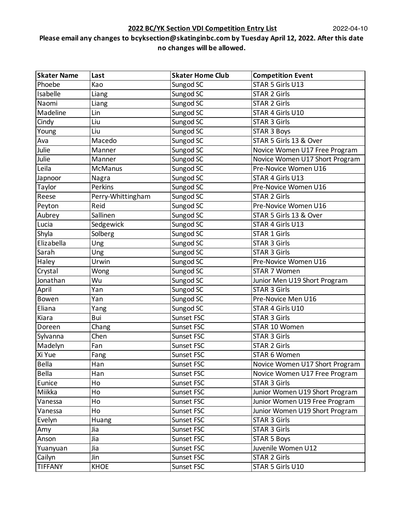| <b>Skater Name</b> | Last              | <b>Skater Home Club</b> | <b>Competition Event</b>       |
|--------------------|-------------------|-------------------------|--------------------------------|
| Phoebe             | Kao               | Sungod SC               | STAR 5 Girls U13               |
| Isabelle           | Liang             | Sungod SC               | <b>STAR 2 Girls</b>            |
| Naomi              | Liang             | Sungod SC               | <b>STAR 2 Girls</b>            |
| Madeline           | Lin               | Sungod SC               | STAR 4 Girls U10               |
| Cindy              | Liu               | Sungod SC               | <b>STAR 3 Girls</b>            |
| Young              | Liu               | Sungod SC               | <b>STAR 3 Boys</b>             |
| Ava                | Macedo            | Sungod SC               | STAR 5 Girls 13 & Over         |
| Julie              | Manner            | Sungod SC               | Novice Women U17 Free Program  |
| Julie              | Manner            | Sungod SC               | Novice Women U17 Short Program |
| Leila              | <b>McManus</b>    | Sungod SC               | Pre-Novice Women U16           |
| Japnoor            | Nagra             | Sungod SC               | STAR 4 Girls U13               |
| Taylor             | Perkins           | Sungod SC               | Pre-Novice Women U16           |
| Reese              | Perry-Whittingham | Sungod SC               | <b>STAR 2 Girls</b>            |
| Peyton             | Reid              | Sungod SC               | Pre-Novice Women U16           |
| Aubrey             | Sallinen          | Sungod SC               | STAR 5 Girls 13 & Over         |
| Lucia              | Sedgewick         | Sungod SC               | STAR 4 Girls U13               |
| Shyla              | Solberg           | Sungod SC               | <b>STAR 1 Girls</b>            |
| Elizabella         | Ung               | Sungod SC               | <b>STAR 3 Girls</b>            |
| Sarah              | Ung               | Sungod SC               | <b>STAR 3 Girls</b>            |
| Haley              | Urwin             | Sungod SC               | Pre-Novice Women U16           |
| Crystal            | Wong              | Sungod SC               | STAR 7 Women                   |
| Jonathan           | Wu                | Sungod SC               | Junior Men U19 Short Program   |
| April              | Yan               | Sungod SC               | <b>STAR 3 Girls</b>            |
| Bowen              | Yan               | Sungod SC               | Pre-Novice Men U16             |
| Eliana             | Yang              | Sungod SC               | STAR 4 Girls U10               |
| Kiara              | Bui               | Sunset FSC              | <b>STAR 3 Girls</b>            |
| Doreen             | Chang             | Sunset FSC              | STAR 10 Women                  |
| Sylvanna           | Chen              | Sunset FSC              | <b>STAR 3 Girls</b>            |
| Madelyn            | Fan               | Sunset FSC              | <b>STAR 2 Girls</b>            |
| Xi Yue             | Fang              | Sunset FSC              | STAR 6 Women                   |
| <b>Bella</b>       | Han               | Sunset FSC              | Novice Women U17 Short Program |
| <b>Bella</b>       | Han               | Sunset FSC              | Novice Women U17 Free Program  |
| Eunice             | Ho                | Sunset FSC              | <b>STAR 3 Girls</b>            |
| Miikka             | Ho                | Sunset FSC              | Junior Women U19 Short Program |
| Vanessa            | Ho                | Sunset FSC              | Junior Women U19 Free Program  |
| Vanessa            | Ho                | Sunset FSC              | Junior Women U19 Short Program |
| Evelyn             | Huang             | Sunset FSC              | <b>STAR 3 Girls</b>            |
| Amy                | Jia               | Sunset FSC              | <b>STAR 3 Girls</b>            |
| Anson              | Jia               | Sunset FSC              | <b>STAR 5 Boys</b>             |
| Yuanyuan           | Jia               | Sunset FSC              | Juvenile Women U12             |
| Cailyn             | Jin               | Sunset FSC              | <b>STAR 2 Girls</b>            |
| <b>TIFFANY</b>     | <b>KHOE</b>       | Sunset FSC              | STAR 5 Girls U10               |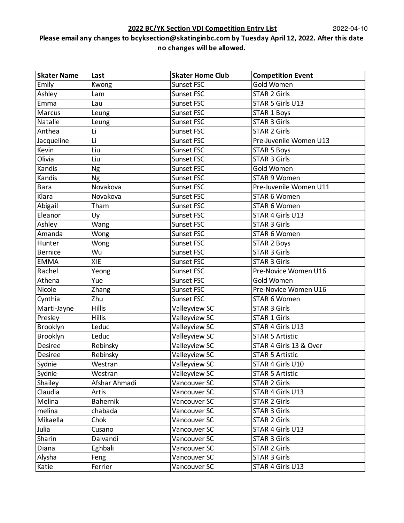#### **2022 BC/YK Section VDI Competition Entry List**

| <b>Skater Name</b> | Last            | <b>Skater Home Club</b> | <b>Competition Event</b> |
|--------------------|-----------------|-------------------------|--------------------------|
| Emily              | Kwong           | Sunset FSC              | Gold Women               |
| Ashley             | Lam             | Sunset FSC              | <b>STAR 2 Girls</b>      |
| Emma               | Lau             | Sunset FSC              | STAR 5 Girls U13         |
| Marcus             | Leung           | Sunset FSC              | <b>STAR 1 Boys</b>       |
| Natalie            | Leung           | Sunset FSC              | <b>STAR 3 Girls</b>      |
| Anthea             | Li              | Sunset FSC              | <b>STAR 2 Girls</b>      |
| Jacqueline         | Li              | Sunset FSC              | Pre-Juvenile Women U13   |
| Kevin              | Liu             | Sunset FSC              | <b>STAR 5 Boys</b>       |
| Olivia             | Liu             | Sunset FSC              | <b>STAR 3 Girls</b>      |
| Kandis             | Ng              | Sunset FSC              | Gold Women               |
| Kandis             | Ng              | Sunset FSC              | <b>STAR 9 Women</b>      |
| <b>Bara</b>        | Novakova        | Sunset FSC              | Pre-Juvenile Women U11   |
| Klara              | Novakova        | Sunset FSC              | STAR 6 Women             |
| Abigail            | Tham            | Sunset FSC              | STAR 6 Women             |
| Eleanor            | Uy              | Sunset FSC              | STAR 4 Girls U13         |
| Ashley             | Wang            | Sunset FSC              | <b>STAR 3 Girls</b>      |
| Amanda             | Wong            | Sunset FSC              | STAR 6 Women             |
| Hunter             | Wong            | Sunset FSC              | <b>STAR 2 Boys</b>       |
| <b>Bernice</b>     | Wu              | Sunset FSC              | <b>STAR 3 Girls</b>      |
| <b>EMMA</b>        | <b>XIE</b>      | Sunset FSC              | <b>STAR 3 Girls</b>      |
| Rachel             | Yeong           | Sunset FSC              | Pre-Novice Women U16     |
| Athena             | Yue             | Sunset FSC              | Gold Women               |
| Nicole             | Zhang           | Sunset FSC              | Pre-Novice Women U16     |
| Cynthia            | Zhu             | Sunset FSC              | STAR 6 Women             |
| Marti-Jayne        | <b>Hillis</b>   | Valleyview SC           | <b>STAR 3 Girls</b>      |
| Presley            | <b>Hillis</b>   | Valleyview SC           | <b>STAR 1 Girls</b>      |
| Brooklyn           | Leduc           | Valleyview SC           | STAR 4 Girls U13         |
| Brooklyn           | Leduc           | Valleyview SC           | <b>STAR 5 Artistic</b>   |
| <b>Desiree</b>     | Rebinsky        | Valleyview SC           | STAR 4 Girls 13 & Over   |
| Desiree            | Rebinsky        | Valleyview SC           | <b>STAR 5 Artistic</b>   |
| Sydnie             | Westran         | Valleyview SC           | STAR 4 Girls U10         |
| Sydnie             | Westran         | Valleyview SC           | <b>STAR 5 Artistic</b>   |
| Shailey            | Afshar Ahmadi   | Vancouver SC            | <b>STAR 2 Girls</b>      |
| Claudia            | Artis           | Vancouver SC            | STAR 4 Girls U13         |
| Melina             | <b>Bahernik</b> | Vancouver SC            | <b>STAR 2 Girls</b>      |
| melina             | chabada         | Vancouver SC            | <b>STAR 3 Girls</b>      |
| Mikaella           | Chok            | Vancouver SC            | <b>STAR 2 Girls</b>      |
| Julia              | Cusano          | Vancouver SC            | STAR 4 Girls U13         |
| Sharin             | Dalvandi        | Vancouver SC            | <b>STAR 3 Girls</b>      |
| Diana              | Eghbali         | Vancouver SC            | <b>STAR 2 Girls</b>      |
| Alysha             | Feng            | Vancouver SC            | <b>STAR 3 Girls</b>      |
| Katie              | Ferrier         | Vancouver SC            | STAR 4 Girls U13         |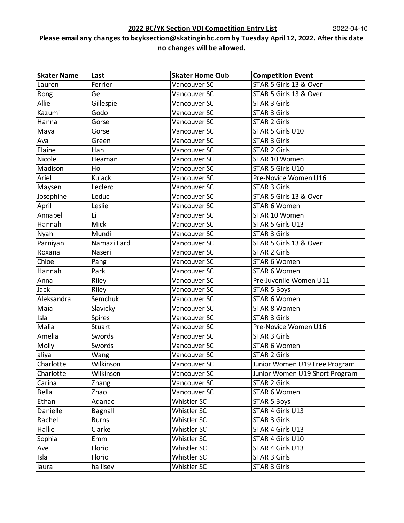| <b>Skater Name</b> | Last          | <b>Skater Home Club</b> | <b>Competition Event</b>       |
|--------------------|---------------|-------------------------|--------------------------------|
| Lauren             | Ferrier       | Vancouver SC            | STAR 5 Girls 13 & Over         |
| Rong               | Ge            | Vancouver SC            | STAR 5 Girls 13 & Over         |
| Allie              | Gillespie     | Vancouver SC            | <b>STAR 3 Girls</b>            |
| Kazumi             | Godo          | Vancouver SC            | <b>STAR 3 Girls</b>            |
| Hanna              | Gorse         | Vancouver SC            | <b>STAR 2 Girls</b>            |
| Maya               | Gorse         | Vancouver SC            | STAR 5 Girls U10               |
| Ava                | Green         | Vancouver SC            | <b>STAR 3 Girls</b>            |
| Elaine             | Han           | Vancouver SC            | <b>STAR 2 Girls</b>            |
| Nicole             | Heaman        | Vancouver SC            | STAR 10 Women                  |
| Madison            | Ho            | Vancouver SC            | STAR 5 Girls U10               |
| Ariel              | Kuiack        | Vancouver SC            | Pre-Novice Women U16           |
| Maysen             | Leclerc       | Vancouver SC            | <b>STAR 3 Girls</b>            |
| Josephine          | Leduc         | Vancouver SC            | STAR 5 Girls 13 & Over         |
| April              | Leslie        | Vancouver SC            | STAR 6 Women                   |
| Annabel            | Li            | Vancouver SC            | STAR 10 Women                  |
| Hannah             | Mick          | Vancouver SC            | STAR 5 Girls U13               |
| Nyah               | Mundi         | Vancouver SC            | <b>STAR 3 Girls</b>            |
| Parniyan           | Namazi Fard   | Vancouver SC            | STAR 5 Girls 13 & Over         |
| Roxana             | Naseri        | Vancouver SC            | <b>STAR 2 Girls</b>            |
| Chloe              | Pang          | Vancouver SC            | STAR 6 Women                   |
| Hannah             | Park          | Vancouver SC            | STAR 6 Women                   |
| Anna               | Riley         | Vancouver SC            | Pre-Juvenile Women U11         |
| Jack               | Riley         | Vancouver SC            | <b>STAR 5 Boys</b>             |
| Aleksandra         | Semchuk       | Vancouver SC            | STAR 6 Women                   |
| Maia               | Slavicky      | Vancouver SC            | STAR 8 Women                   |
| Isla               | <b>Spires</b> | Vancouver SC            | <b>STAR 3 Girls</b>            |
| Malia              | <b>Stuart</b> | Vancouver SC            | Pre-Novice Women U16           |
| Amelia             | Swords        | Vancouver SC            | <b>STAR 3 Girls</b>            |
| Molly              | Swords        | Vancouver SC            | STAR 6 Women                   |
| aliya              | Wang          | Vancouver SC            | <b>STAR 2 Girls</b>            |
| Charlotte          | Wilkinson     | Vancouver SC            | Junior Women U19 Free Program  |
| Charlotte          | Wilkinson     | Vancouver SC            | Junior Women U19 Short Program |
| Carina             | Zhang         | Vancouver SC            | <b>STAR 2 Girls</b>            |
| Bella              | Zhao          | Vancouver SC            | STAR 6 Women                   |
| Ethan              | Adanac        | Whistler SC             | <b>STAR 5 Boys</b>             |
| Danielle           | Bagnall       | Whistler SC             | STAR 4 Girls U13               |
| Rachel             | <b>Burns</b>  | Whistler SC             | <b>STAR 3 Girls</b>            |
| Hallie             | Clarke        | Whistler SC             | STAR 4 Girls U13               |
| Sophia             | Emm           | Whistler SC             | STAR 4 Girls U10               |
| Ave                | Florio        | Whistler SC             | STAR 4 Girls U13               |
| Isla               | Florio        | Whistler SC             | <b>STAR 3 Girls</b>            |
| laura              | hallisey      | Whistler SC             | <b>STAR 3 Girls</b>            |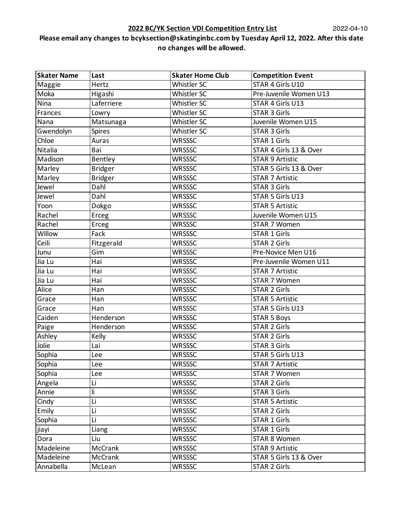### **2022 BC/YK Section VDI Competition Entry List**

| <b>Skater Name</b> | Last           | <b>Skater Home Club</b> | <b>Competition Event</b> |
|--------------------|----------------|-------------------------|--------------------------|
| Maggie             | Hertz          | Whistler SC             | STAR 4 Girls U10         |
| Moka               | Higashi        | Whistler SC             | Pre-Juvenile Women U13   |
| Nina               | Laferriere     | Whistler SC             | STAR 4 Girls U13         |
| Frances            | Lowry          | Whistler SC             | <b>STAR 3 Girls</b>      |
| Nana               | Matsunaga      | Whistler SC             | Juvenile Women U15       |
| Gwendolyn          | <b>Spires</b>  | Whistler SC             | <b>STAR 3 Girls</b>      |
| Chloe              | Auras          | <b>WRSSSC</b>           | <b>STAR 1 Girls</b>      |
| Nitalia            | Bai            | <b>WRSSSC</b>           | STAR 4 Girls 13 & Over   |
| Madison            | Bentley        | <b>WRSSSC</b>           | <b>STAR 9 Artistic</b>   |
| Marley             | <b>Bridger</b> | <b>WRSSSC</b>           | STAR 5 Girls 13 & Over   |
| Marley             | <b>Bridger</b> | <b>WRSSSC</b>           | <b>STAR 7 Artistic</b>   |
| Jewel              | Dahl           | <b>WRSSSC</b>           | <b>STAR 3 Girls</b>      |
| Jewel              | Dahl           | <b>WRSSSC</b>           | STAR 5 Girls U13         |
| Yoon               | Dokgo          | <b>WRSSSC</b>           | <b>STAR 5 Artistic</b>   |
| Rachel             | Erceg          | <b>WRSSSC</b>           | Juvenile Women U15       |
| Rachel             | Erceg          | <b>WRSSSC</b>           | STAR 7 Women             |
| Willow             | Fack           | <b>WRSSSC</b>           | <b>STAR 1 Girls</b>      |
| Ceili              | Fitzgerald     | <b>WRSSSC</b>           | <b>STAR 2 Girls</b>      |
| Junu               | Gim            | <b>WRSSSC</b>           | Pre-Novice Men U16       |
| Jia Lu             | Hai            | <b>WRSSSC</b>           | Pre-Juvenile Women U11   |
| Jia Lu             | Hai            | <b>WRSSSC</b>           | <b>STAR 7 Artistic</b>   |
| Jia Lu             | Hai            | <b>WRSSSC</b>           | STAR 7 Women             |
| Alice              | Han            | <b>WRSSSC</b>           | <b>STAR 2 Girls</b>      |
| Grace              | Han            | <b>WRSSSC</b>           | <b>STAR 5 Artistic</b>   |
| Grace              | Han            | <b>WRSSSC</b>           | STAR 5 Girls U13         |
| Caiden             | Henderson      | <b>WRSSSC</b>           | <b>STAR 5 Boys</b>       |
| Paige              | Henderson      | <b>WRSSSC</b>           | <b>STAR 2 Girls</b>      |
| Ashley             | Kelly          | <b>WRSSSC</b>           | <b>STAR 2 Girls</b>      |
| Jolie              | Lai            | <b>WRSSSC</b>           | <b>STAR 3 Girls</b>      |
| Sophia             | Lee            | <b>WRSSSC</b>           | STAR 5 Girls U13         |
| Sophia             | Lee            | <b>WRSSSC</b>           | <b>STAR 7 Artistic</b>   |
| Sophia             | Lee            | <b>WRSSSC</b>           | <b>STAR 7 Women</b>      |
| Angela             | Li             | <b>WRSSSC</b>           | <b>STAR 2 Girls</b>      |
| Annie              | li             | <b>WRSSSC</b>           | <b>STAR 3 Girls</b>      |
| Cindy              | Li             | <b>WRSSSC</b>           | <b>STAR 5 Artistic</b>   |
| Emily              | Li             | <b>WRSSSC</b>           | <b>STAR 2 Girls</b>      |
| Sophia             | Li             | <b>WRSSSC</b>           | <b>STAR 1 Girls</b>      |
| jiayi              | Liang          | <b>WRSSSC</b>           | STAR 1 Girls             |
| Dora               | Liu            | <b>WRSSSC</b>           | <b>STAR 8 Women</b>      |
| Madeleine          | McCrank        | <b>WRSSSC</b>           | <b>STAR 9 Artistic</b>   |
| Madeleine          | McCrank        | <b>WRSSSC</b>           | STAR 5 Girls 13 & Over   |
| Annabella          | McLean         | <b>WRSSSC</b>           | <b>STAR 2 Girls</b>      |